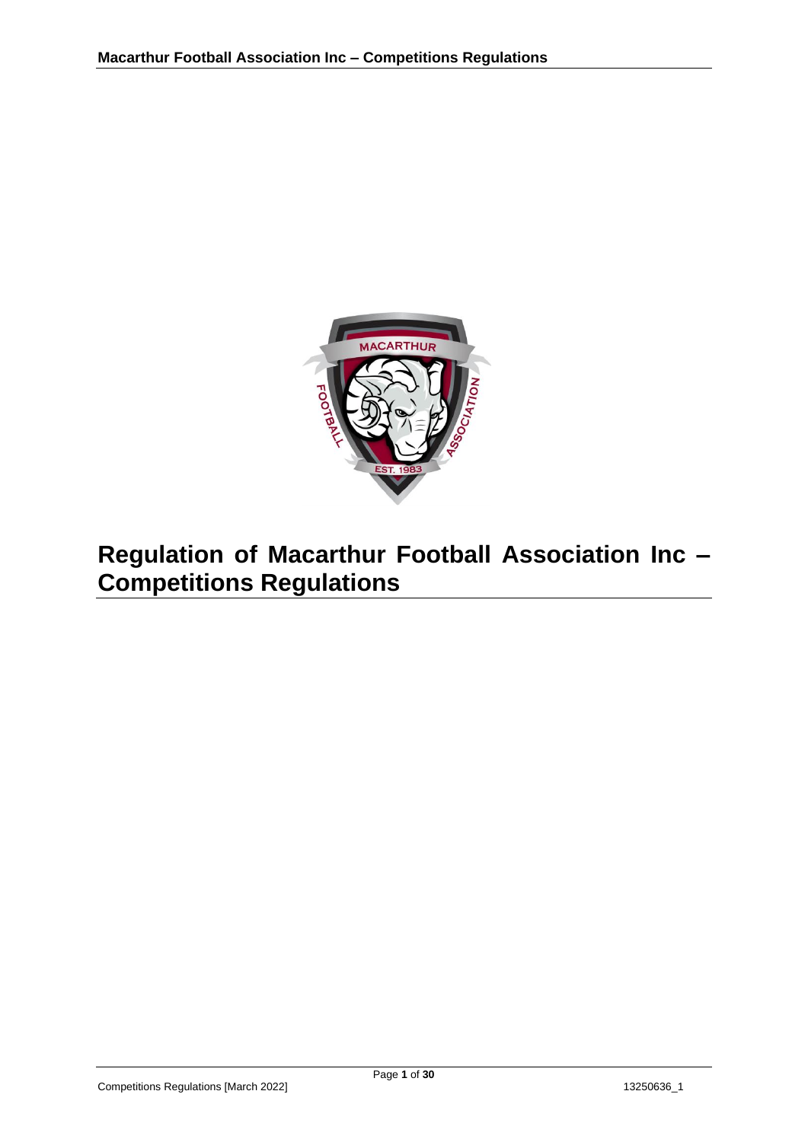

# **Regulation of Macarthur Football Association Inc – Competitions Regulations**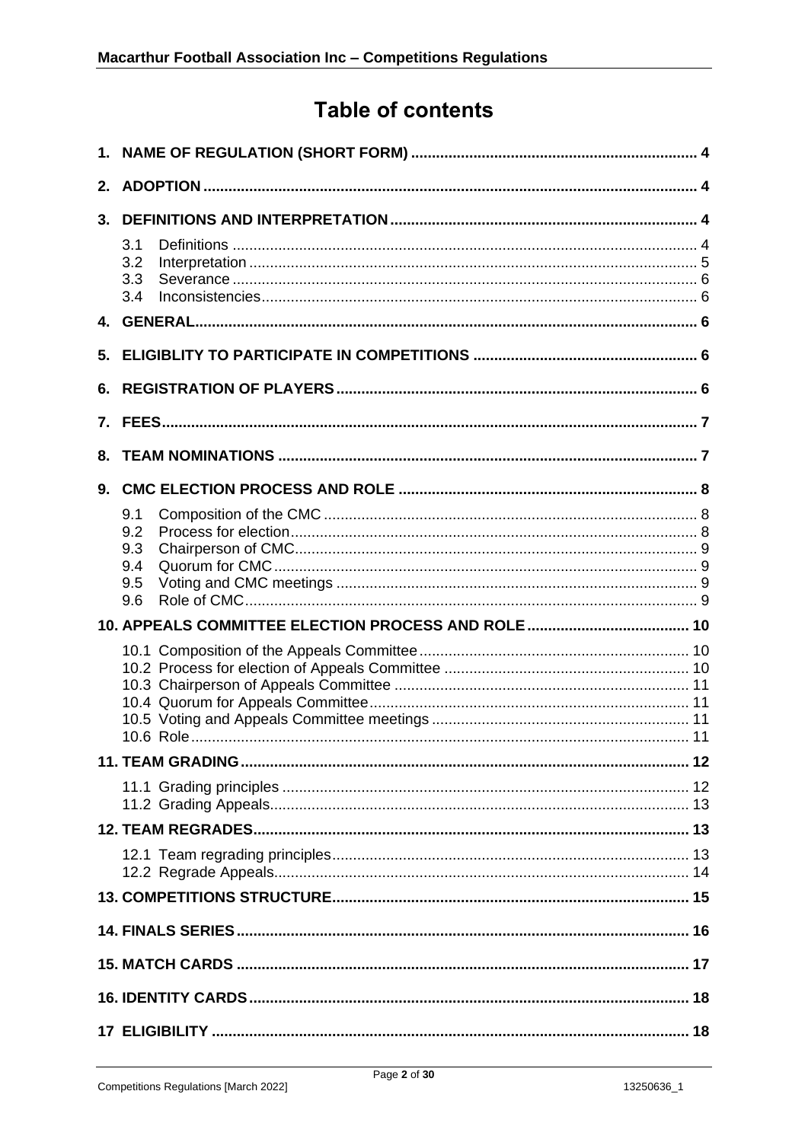## **Table of contents**

| 2. |                                        |  |  |  |  |
|----|----------------------------------------|--|--|--|--|
| 3. |                                        |  |  |  |  |
|    | 3.1<br>3.2<br>3.3<br>3.4               |  |  |  |  |
|    |                                        |  |  |  |  |
| 5. |                                        |  |  |  |  |
| 6. |                                        |  |  |  |  |
| 7. |                                        |  |  |  |  |
| 8. |                                        |  |  |  |  |
| 9. |                                        |  |  |  |  |
|    | 9.1<br>9.2<br>9.3<br>9.4<br>9.5<br>9.6 |  |  |  |  |
|    |                                        |  |  |  |  |
|    |                                        |  |  |  |  |
|    |                                        |  |  |  |  |
|    |                                        |  |  |  |  |
|    |                                        |  |  |  |  |
|    |                                        |  |  |  |  |
|    |                                        |  |  |  |  |
|    |                                        |  |  |  |  |
|    |                                        |  |  |  |  |
|    |                                        |  |  |  |  |
|    |                                        |  |  |  |  |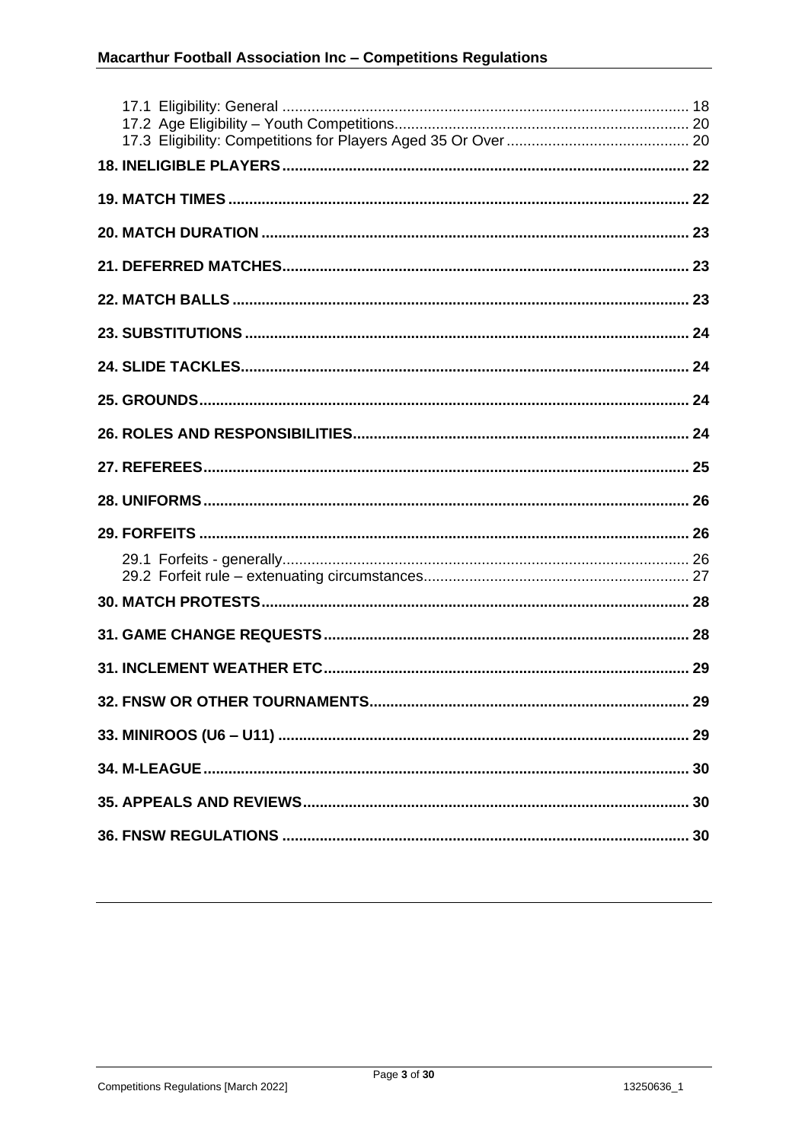| 32. FNSW OR OTHER TOURNAMENTS. | . 29 |
|--------------------------------|------|
|                                |      |
|                                |      |
|                                |      |
|                                |      |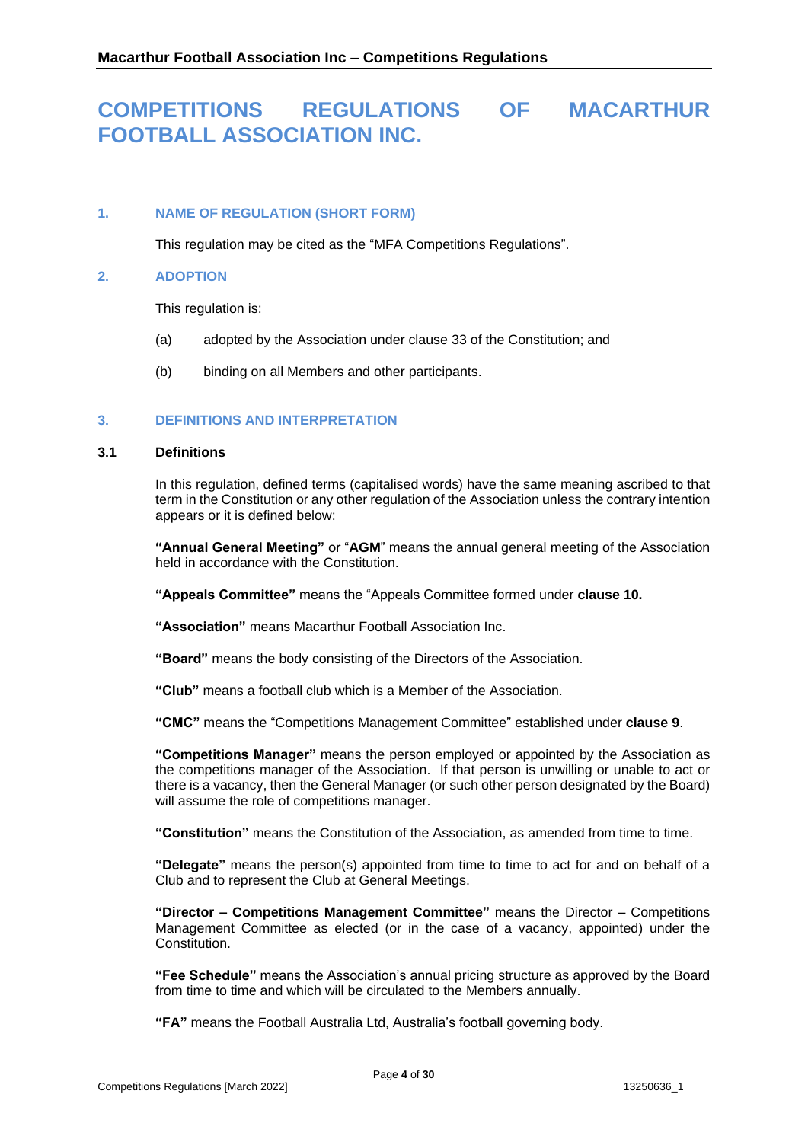## **COMPETITIONS REGULATIONS OF MACARTHUR FOOTBALL ASSOCIATION INC.**

## <span id="page-3-0"></span>**1. NAME OF REGULATION (SHORT FORM)**

This regulation may be cited as the "MFA Competitions Regulations".

#### <span id="page-3-1"></span>**2. ADOPTION**

This regulation is:

- (a) adopted by the Association under clause 33 of the Constitution; and
- (b) binding on all Members and other participants.

## <span id="page-3-2"></span>**3. DEFINITIONS AND INTERPRETATION**

#### <span id="page-3-3"></span>**3.1 Definitions**

In this regulation, defined terms (capitalised words) have the same meaning ascribed to that term in the Constitution or any other regulation of the Association unless the contrary intention appears or it is defined below:

**"Annual General Meeting"** or "**AGM**" means the annual general meeting of the Association held in accordance with the Constitution.

**"Appeals Committee"** means the "Appeals Committee formed under **clause [10.](#page-9-0)**

**"Association"** means Macarthur Football Association Inc.

**"Board"** means the body consisting of the Directors of the Association.

**"Club"** means a football club which is a Member of the Association.

**"CMC"** means the "Competitions Management Committee" established under **clause [9](#page-7-0)**.

**"Competitions Manager"** means the person employed or appointed by the Association as the competitions manager of the Association. If that person is unwilling or unable to act or there is a vacancy, then the General Manager (or such other person designated by the Board) will assume the role of competitions manager.

**"Constitution"** means the Constitution of the Association, as amended from time to time.

**"Delegate"** means the person(s) appointed from time to time to act for and on behalf of a Club and to represent the Club at General Meetings.

**"Director – Competitions Management Committee"** means the Director – Competitions Management Committee as elected (or in the case of a vacancy, appointed) under the Constitution.

**"Fee Schedule"** means the Association's annual pricing structure as approved by the Board from time to time and which will be circulated to the Members annually.

**"FA"** means the Football Australia Ltd, Australia's football governing body.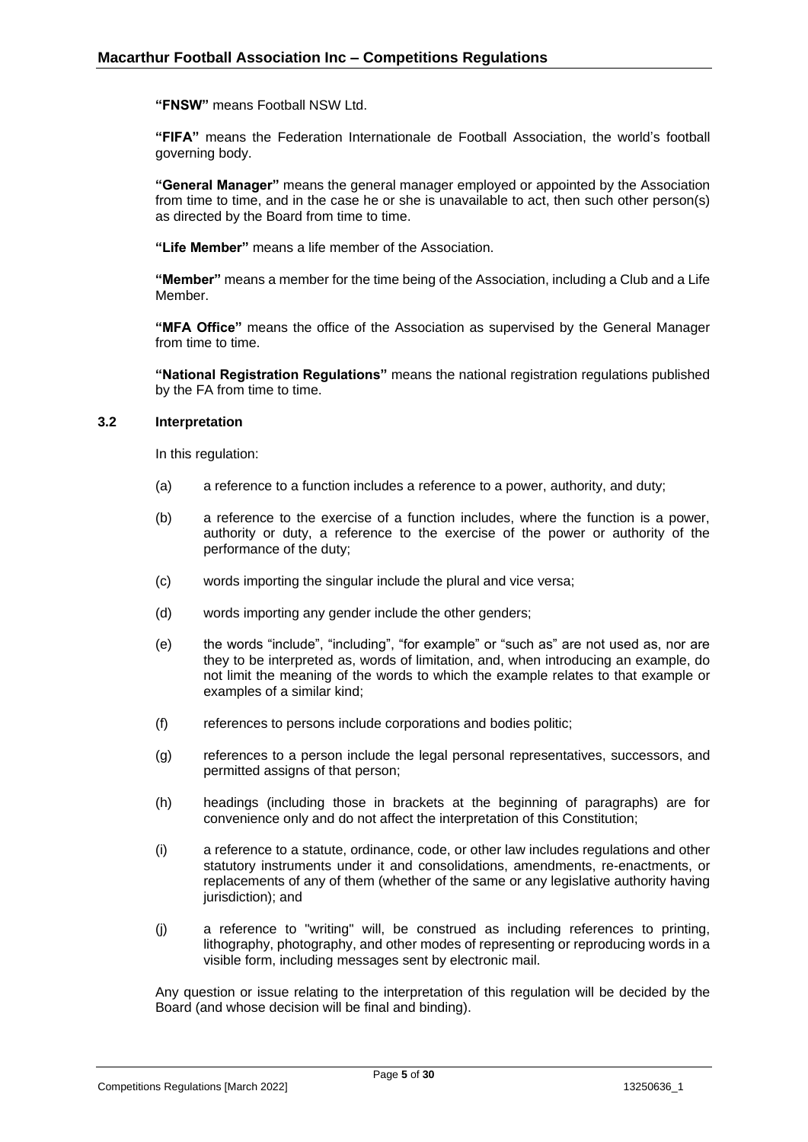**"FNSW"** means Football NSW Ltd.

**"FIFA"** means the Federation Internationale de Football Association, the world's football governing body.

**"General Manager"** means the general manager employed or appointed by the Association from time to time, and in the case he or she is unavailable to act, then such other person(s) as directed by the Board from time to time.

**"Life Member"** means a life member of the Association.

**"Member"** means a member for the time being of the Association, including a Club and a Life Member.

**"MFA Office"** means the office of the Association as supervised by the General Manager from time to time.

**"National Registration Regulations"** means the national registration regulations published by the FA from time to time.

#### <span id="page-4-0"></span>**3.2 Interpretation**

In this regulation:

- (a) a reference to a function includes a reference to a power, authority, and duty;
- (b) a reference to the exercise of a function includes, where the function is a power, authority or duty, a reference to the exercise of the power or authority of the performance of the duty;
- (c) words importing the singular include the plural and vice versa;
- (d) words importing any gender include the other genders;
- (e) the words "include", "including", "for example" or "such as" are not used as, nor are they to be interpreted as, words of limitation, and, when introducing an example, do not limit the meaning of the words to which the example relates to that example or examples of a similar kind;
- (f) references to persons include corporations and bodies politic;
- (g) references to a person include the legal personal representatives, successors, and permitted assigns of that person;
- (h) headings (including those in brackets at the beginning of paragraphs) are for convenience only and do not affect the interpretation of this Constitution;
- (i) a reference to a statute, ordinance, code, or other law includes regulations and other statutory instruments under it and consolidations, amendments, re-enactments, or replacements of any of them (whether of the same or any legislative authority having jurisdiction); and
- (j) a reference to "writing" will, be construed as including references to printing, lithography, photography, and other modes of representing or reproducing words in a visible form, including messages sent by electronic mail.

Any question or issue relating to the interpretation of this regulation will be decided by the Board (and whose decision will be final and binding).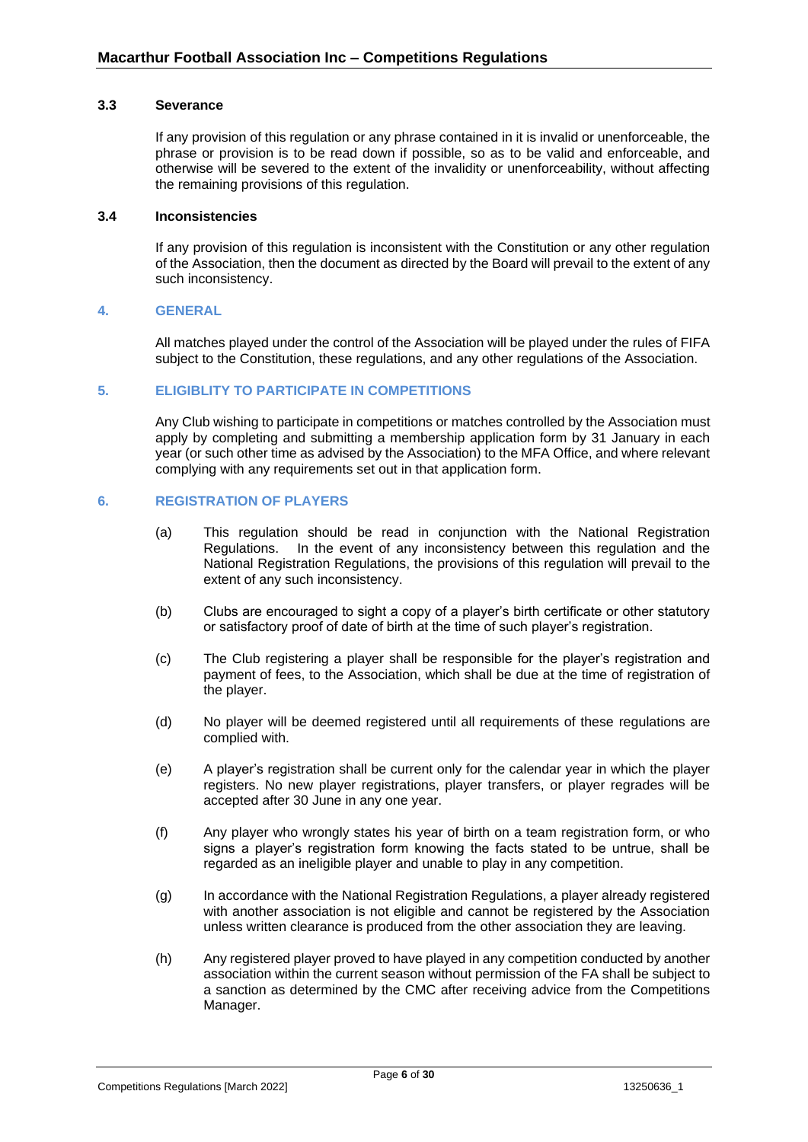#### <span id="page-5-0"></span>**3.3 Severance**

If any provision of this regulation or any phrase contained in it is invalid or unenforceable, the phrase or provision is to be read down if possible, so as to be valid and enforceable, and otherwise will be severed to the extent of the invalidity or unenforceability, without affecting the remaining provisions of this regulation.

#### <span id="page-5-1"></span>**3.4 Inconsistencies**

If any provision of this regulation is inconsistent with the Constitution or any other regulation of the Association, then the document as directed by the Board will prevail to the extent of any such inconsistency.

#### <span id="page-5-2"></span>**4. GENERAL**

All matches played under the control of the Association will be played under the rules of FIFA subject to the Constitution, these regulations, and any other regulations of the Association.

#### <span id="page-5-3"></span>**5. ELIGIBLITY TO PARTICIPATE IN COMPETITIONS**

Any Club wishing to participate in competitions or matches controlled by the Association must apply by completing and submitting a membership application form by 31 January in each year (or such other time as advised by the Association) to the MFA Office, and where relevant complying with any requirements set out in that application form.

## <span id="page-5-4"></span>**6. REGISTRATION OF PLAYERS**

- (a) This regulation should be read in conjunction with the National Registration Regulations. In the event of any inconsistency between this regulation and the National Registration Regulations, the provisions of this regulation will prevail to the extent of any such inconsistency.
- (b) Clubs are encouraged to sight a copy of a player's birth certificate or other statutory or satisfactory proof of date of birth at the time of such player's registration.
- (c) The Club registering a player shall be responsible for the player's registration and payment of fees, to the Association, which shall be due at the time of registration of the player.
- (d) No player will be deemed registered until all requirements of these regulations are complied with.
- (e) A player's registration shall be current only for the calendar year in which the player registers. No new player registrations, player transfers, or player regrades will be accepted after 30 June in any one year.
- (f) Any player who wrongly states his year of birth on a team registration form, or who signs a player's registration form knowing the facts stated to be untrue, shall be regarded as an ineligible player and unable to play in any competition.
- (g) In accordance with the National Registration Regulations, a player already registered with another association is not eligible and cannot be registered by the Association unless written clearance is produced from the other association they are leaving.
- (h) Any registered player proved to have played in any competition conducted by another association within the current season without permission of the FA shall be subject to a sanction as determined by the CMC after receiving advice from the Competitions Manager.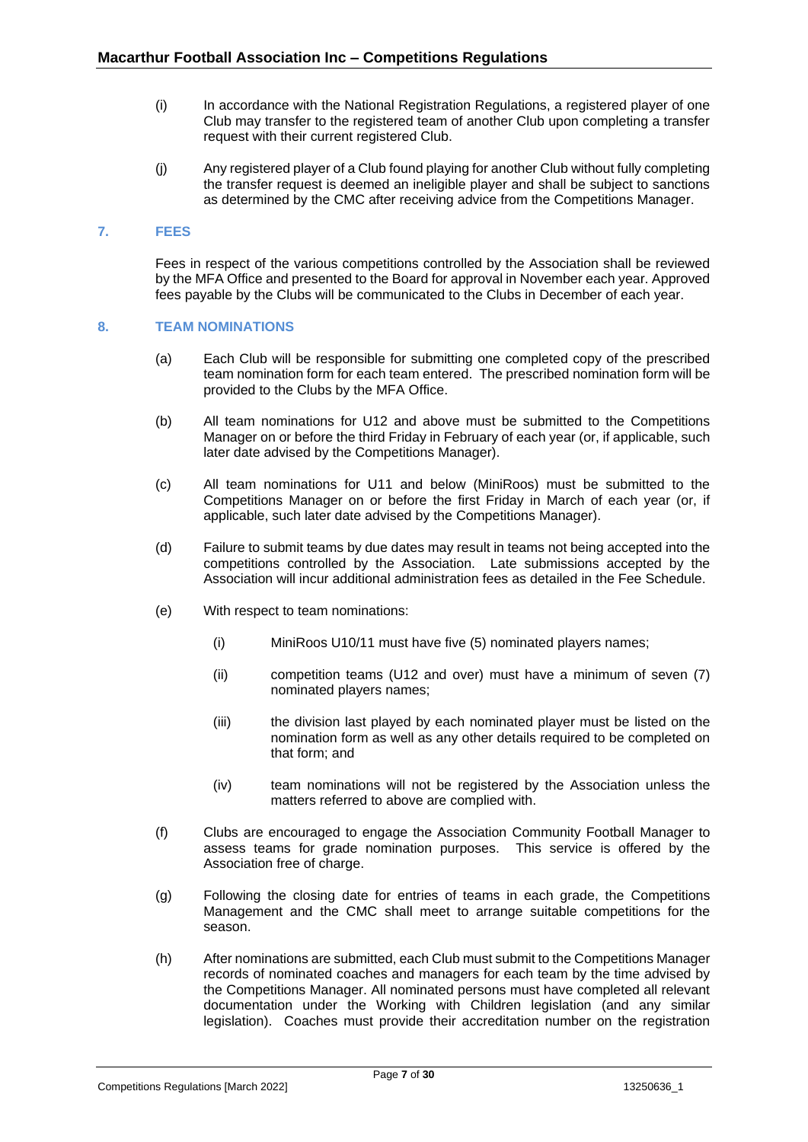- (i) In accordance with the National Registration Regulations, a registered player of one Club may transfer to the registered team of another Club upon completing a transfer request with their current registered Club.
- (j) Any registered player of a Club found playing for another Club without fully completing the transfer request is deemed an ineligible player and shall be subject to sanctions as determined by the CMC after receiving advice from the Competitions Manager.

## <span id="page-6-0"></span>**7. FEES**

Fees in respect of the various competitions controlled by the Association shall be reviewed by the MFA Office and presented to the Board for approval in November each year. Approved fees payable by the Clubs will be communicated to the Clubs in December of each year.

#### <span id="page-6-1"></span>**8. TEAM NOMINATIONS**

- (a) Each Club will be responsible for submitting one completed copy of the prescribed team nomination form for each team entered. The prescribed nomination form will be provided to the Clubs by the MFA Office.
- (b) All team nominations for U12 and above must be submitted to the Competitions Manager on or before the third Friday in February of each year (or, if applicable, such later date advised by the Competitions Manager).
- (c) All team nominations for U11 and below (MiniRoos) must be submitted to the Competitions Manager on or before the first Friday in March of each year (or, if applicable, such later date advised by the Competitions Manager).
- (d) Failure to submit teams by due dates may result in teams not being accepted into the competitions controlled by the Association. Late submissions accepted by the Association will incur additional administration fees as detailed in the Fee Schedule.
- (e) With respect to team nominations:
	- (i) MiniRoos U10/11 must have five (5) nominated players names;
	- (ii) competition teams (U12 and over) must have a minimum of seven (7) nominated players names;
	- (iii) the division last played by each nominated player must be listed on the nomination form as well as any other details required to be completed on that form; and
	- (iv) team nominations will not be registered by the Association unless the matters referred to above are complied with.
- (f) Clubs are encouraged to engage the Association Community Football Manager to assess teams for grade nomination purposes. This service is offered by the Association free of charge.
- (g) Following the closing date for entries of teams in each grade, the Competitions Management and the CMC shall meet to arrange suitable competitions for the season.
- (h) After nominations are submitted, each Club must submit to the Competitions Manager records of nominated coaches and managers for each team by the time advised by the Competitions Manager. All nominated persons must have completed all relevant documentation under the Working with Children legislation (and any similar legislation). Coaches must provide their accreditation number on the registration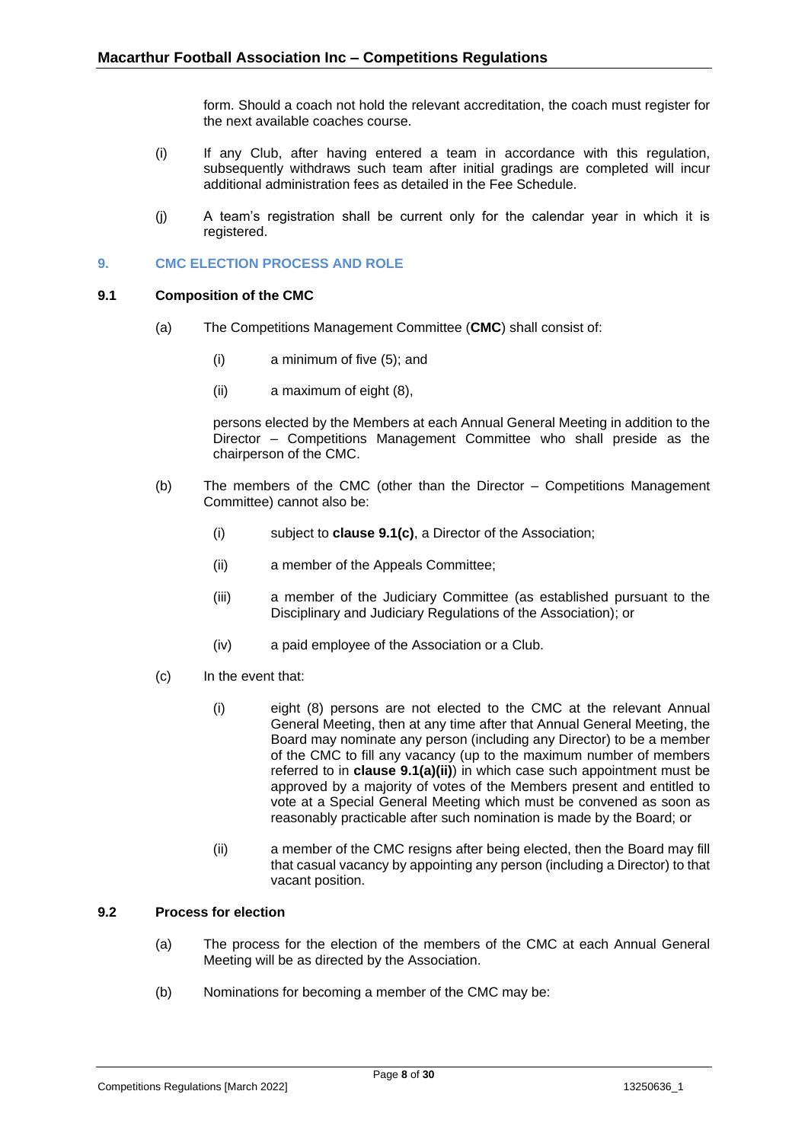form. Should a coach not hold the relevant accreditation, the coach must register for the next available coaches course.

- (i) If any Club, after having entered a team in accordance with this regulation, subsequently withdraws such team after initial gradings are completed will incur additional administration fees as detailed in the Fee Schedule.
- (j) A team's registration shall be current only for the calendar year in which it is registered.

## <span id="page-7-0"></span>**9. CMC ELECTION PROCESS AND ROLE**

#### <span id="page-7-1"></span>**9.1 Composition of the CMC**

- (a) The Competitions Management Committee (**CMC**) shall consist of:
	- (i) a minimum of five (5); and
	- (ii) a maximum of eight (8),

persons elected by the Members at each Annual General Meeting in addition to the Director – Competitions Management Committee who shall preside as the chairperson of the CMC.

- (b) The members of the CMC (other than the Director Competitions Management Committee) cannot also be:
	- (i) subject to **clause 9.1(c)**, a Director of the Association;
	- (ii) a member of the Appeals Committee;
	- (iii) a member of the Judiciary Committee (as established pursuant to the Disciplinary and Judiciary Regulations of the Association); or
	- (iv) a paid employee of the Association or a Club.
- (c) In the event that:
	- (i) eight (8) persons are not elected to the CMC at the relevant Annual General Meeting, then at any time after that Annual General Meeting, the Board may nominate any person (including any Director) to be a member of the CMC to fill any vacancy (up to the maximum number of members referred to in **clause 9.1(a)(ii)**) in which case such appointment must be approved by a majority of votes of the Members present and entitled to vote at a Special General Meeting which must be convened as soon as reasonably practicable after such nomination is made by the Board; or
	- (ii) a member of the CMC resigns after being elected, then the Board may fill that casual vacancy by appointing any person (including a Director) to that vacant position.

## <span id="page-7-2"></span>**9.2 Process for election**

- (a) The process for the election of the members of the CMC at each Annual General Meeting will be as directed by the Association.
- (b) Nominations for becoming a member of the CMC may be: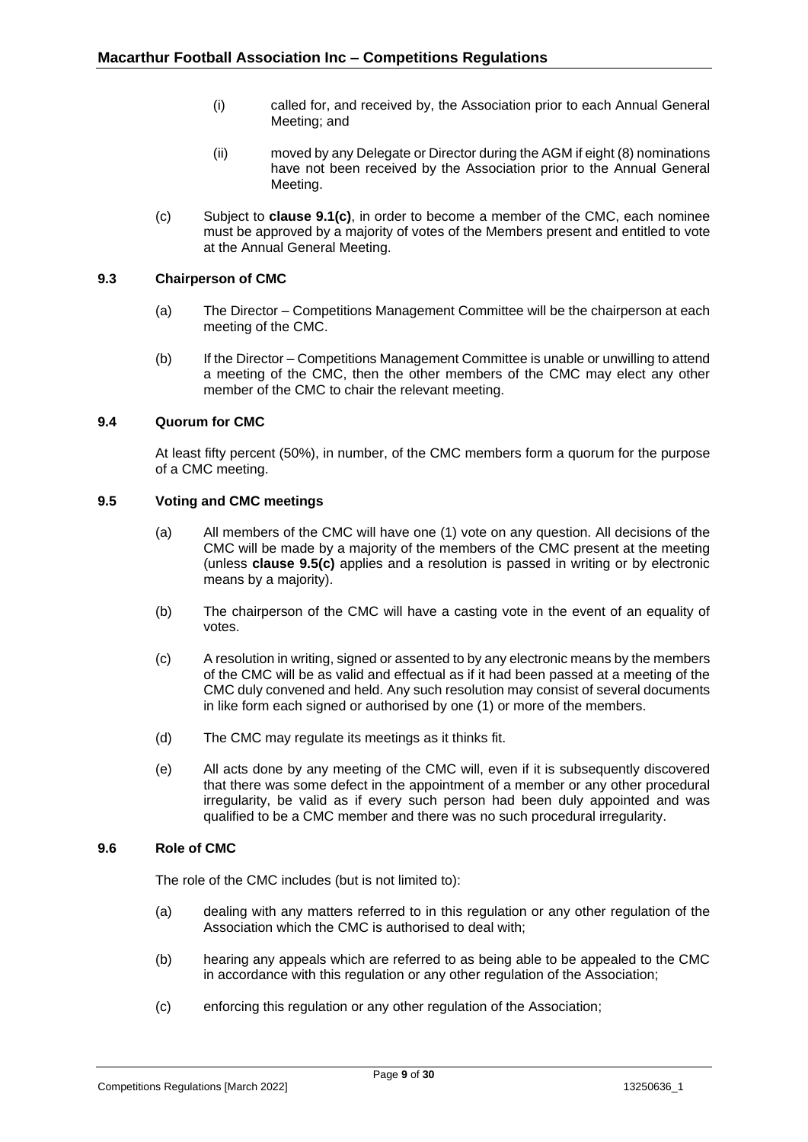- (i) called for, and received by, the Association prior to each Annual General Meeting; and
- (ii) moved by any Delegate or Director during the AGM if eight (8) nominations have not been received by the Association prior to the Annual General Meeting.
- (c) Subject to **clause 9.1(c)**, in order to become a member of the CMC, each nominee must be approved by a majority of votes of the Members present and entitled to vote at the Annual General Meeting.

## <span id="page-8-0"></span>**9.3 Chairperson of CMC**

- (a) The Director Competitions Management Committee will be the chairperson at each meeting of the CMC.
- (b) If the Director Competitions Management Committee is unable or unwilling to attend a meeting of the CMC, then the other members of the CMC may elect any other member of the CMC to chair the relevant meeting.

#### <span id="page-8-1"></span>**9.4 Quorum for CMC**

At least fifty percent (50%), in number, of the CMC members form a quorum for the purpose of a CMC meeting.

## <span id="page-8-2"></span>**9.5 Voting and CMC meetings**

- (a) All members of the CMC will have one (1) vote on any question. All decisions of the CMC will be made by a majority of the members of the CMC present at the meeting (unless **clause 9.5(c)** applies and a resolution is passed in writing or by electronic means by a majority).
- (b) The chairperson of the CMC will have a casting vote in the event of an equality of votes.
- (c) A resolution in writing, signed or assented to by any electronic means by the members of the CMC will be as valid and effectual as if it had been passed at a meeting of the CMC duly convened and held. Any such resolution may consist of several documents in like form each signed or authorised by one (1) or more of the members.
- (d) The CMC may regulate its meetings as it thinks fit.
- (e) All acts done by any meeting of the CMC will, even if it is subsequently discovered that there was some defect in the appointment of a member or any other procedural irregularity, be valid as if every such person had been duly appointed and was qualified to be a CMC member and there was no such procedural irregularity.

#### <span id="page-8-3"></span>**9.6 Role of CMC**

The role of the CMC includes (but is not limited to):

- (a) dealing with any matters referred to in this regulation or any other regulation of the Association which the CMC is authorised to deal with;
- (b) hearing any appeals which are referred to as being able to be appealed to the CMC in accordance with this regulation or any other regulation of the Association;
- (c) enforcing this regulation or any other regulation of the Association;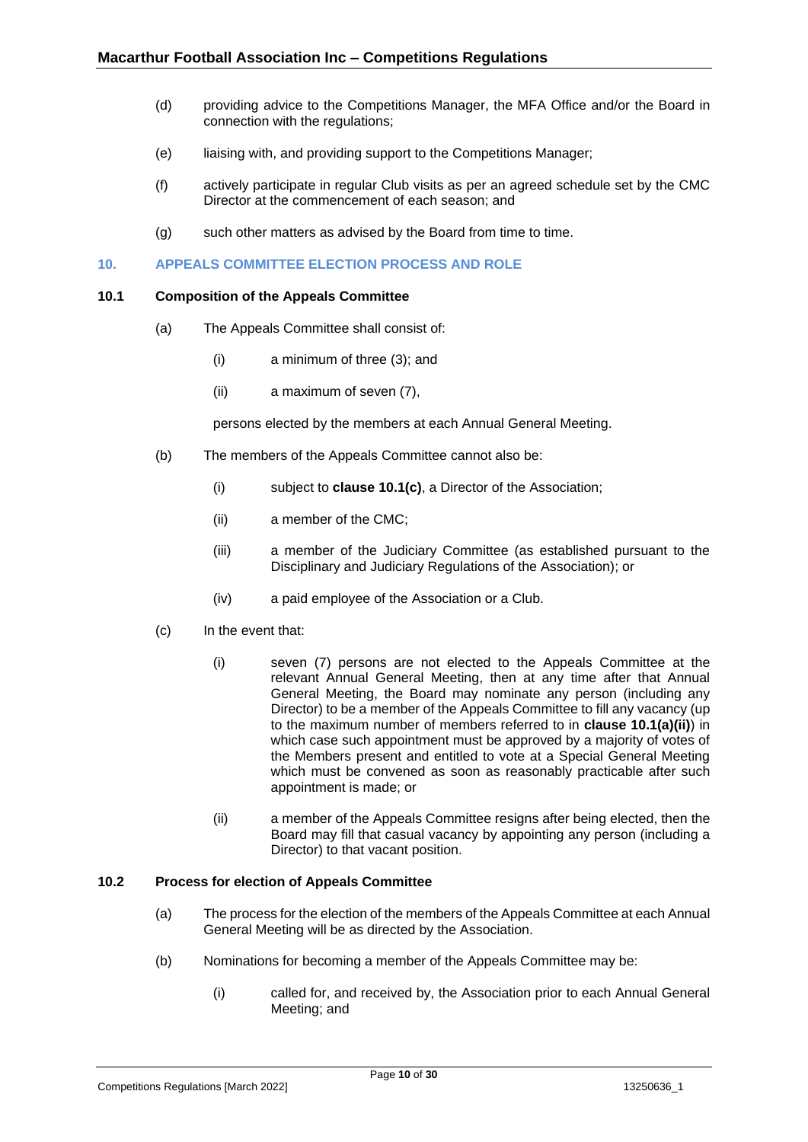- (d) providing advice to the Competitions Manager, the MFA Office and/or the Board in connection with the regulations;
- (e) liaising with, and providing support to the Competitions Manager;
- (f) actively participate in regular Club visits as per an agreed schedule set by the CMC Director at the commencement of each season; and
- (g) such other matters as advised by the Board from time to time.

#### <span id="page-9-0"></span>**10. APPEALS COMMITTEE ELECTION PROCESS AND ROLE**

#### <span id="page-9-1"></span>**10.1 Composition of the Appeals Committee**

- (a) The Appeals Committee shall consist of:
	- (i) a minimum of three (3); and
	- (ii) a maximum of seven (7),

persons elected by the members at each Annual General Meeting.

- (b) The members of the Appeals Committee cannot also be:
	- (i) subject to **clause 10.1(c)**, a Director of the Association;
	- (ii) a member of the CMC;
	- (iii) a member of the Judiciary Committee (as established pursuant to the Disciplinary and Judiciary Regulations of the Association); or
	- (iv) a paid employee of the Association or a Club.
- (c) In the event that:
	- (i) seven (7) persons are not elected to the Appeals Committee at the relevant Annual General Meeting, then at any time after that Annual General Meeting, the Board may nominate any person (including any Director) to be a member of the Appeals Committee to fill any vacancy (up to the maximum number of members referred to in **clause 10.1(a)(ii)**) in which case such appointment must be approved by a majority of votes of the Members present and entitled to vote at a Special General Meeting which must be convened as soon as reasonably practicable after such appointment is made; or
	- (ii) a member of the Appeals Committee resigns after being elected, then the Board may fill that casual vacancy by appointing any person (including a Director) to that vacant position.

## <span id="page-9-2"></span>**10.2 Process for election of Appeals Committee**

- (a) The process for the election of the members of the Appeals Committee at each Annual General Meeting will be as directed by the Association.
- (b) Nominations for becoming a member of the Appeals Committee may be:
	- (i) called for, and received by, the Association prior to each Annual General Meeting; and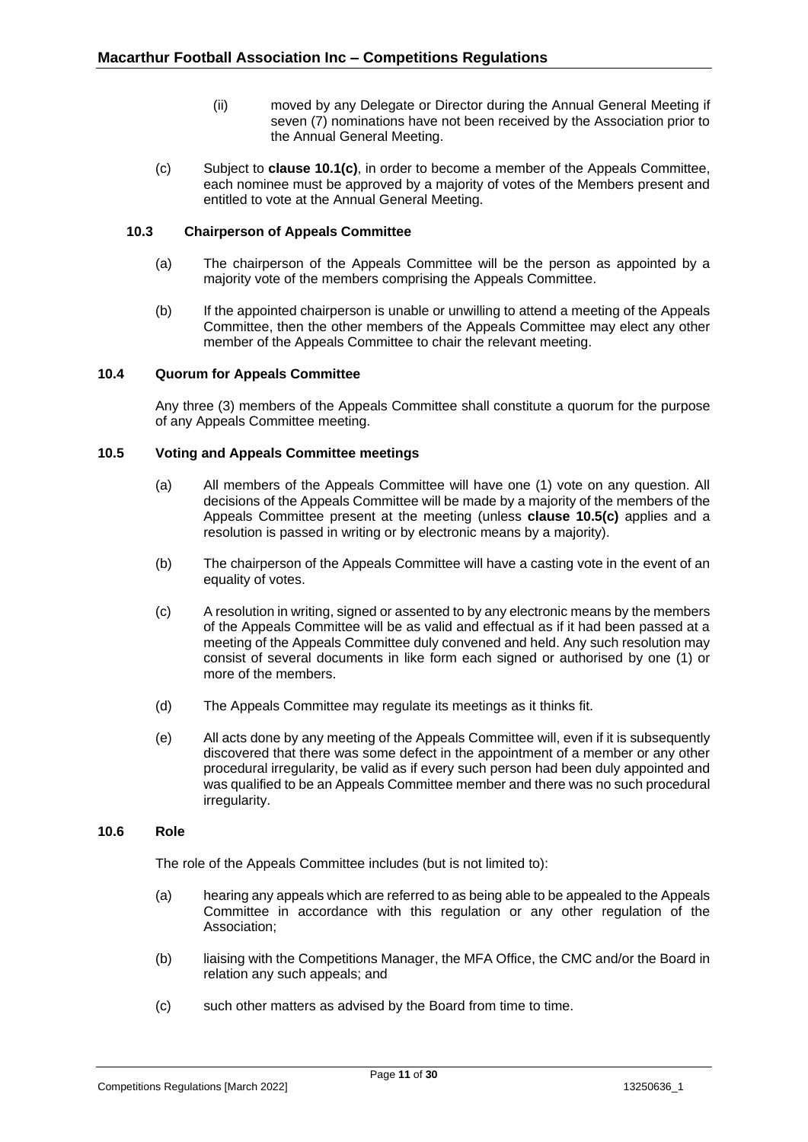- (ii) moved by any Delegate or Director during the Annual General Meeting if seven (7) nominations have not been received by the Association prior to the Annual General Meeting.
- (c) Subject to **clause 10.1(c)**, in order to become a member of the Appeals Committee, each nominee must be approved by a majority of votes of the Members present and entitled to vote at the Annual General Meeting.

## <span id="page-10-0"></span>**10.3 Chairperson of Appeals Committee**

- (a) The chairperson of the Appeals Committee will be the person as appointed by a majority vote of the members comprising the Appeals Committee.
- (b) If the appointed chairperson is unable or unwilling to attend a meeting of the Appeals Committee, then the other members of the Appeals Committee may elect any other member of the Appeals Committee to chair the relevant meeting.

#### <span id="page-10-1"></span>**10.4 Quorum for Appeals Committee**

Any three (3) members of the Appeals Committee shall constitute a quorum for the purpose of any Appeals Committee meeting.

## <span id="page-10-2"></span>**10.5 Voting and Appeals Committee meetings**

- (a) All members of the Appeals Committee will have one (1) vote on any question. All decisions of the Appeals Committee will be made by a majority of the members of the Appeals Committee present at the meeting (unless **clause 10.5(c)** applies and a resolution is passed in writing or by electronic means by a majority).
- (b) The chairperson of the Appeals Committee will have a casting vote in the event of an equality of votes.
- (c) A resolution in writing, signed or assented to by any electronic means by the members of the Appeals Committee will be as valid and effectual as if it had been passed at a meeting of the Appeals Committee duly convened and held. Any such resolution may consist of several documents in like form each signed or authorised by one (1) or more of the members.
- (d) The Appeals Committee may regulate its meetings as it thinks fit.
- (e) All acts done by any meeting of the Appeals Committee will, even if it is subsequently discovered that there was some defect in the appointment of a member or any other procedural irregularity, be valid as if every such person had been duly appointed and was qualified to be an Appeals Committee member and there was no such procedural irregularity.

#### <span id="page-10-3"></span>**10.6 Role**

The role of the Appeals Committee includes (but is not limited to):

- (a) hearing any appeals which are referred to as being able to be appealed to the Appeals Committee in accordance with this regulation or any other regulation of the Association;
- (b) liaising with the Competitions Manager, the MFA Office, the CMC and/or the Board in relation any such appeals; and
- (c) such other matters as advised by the Board from time to time.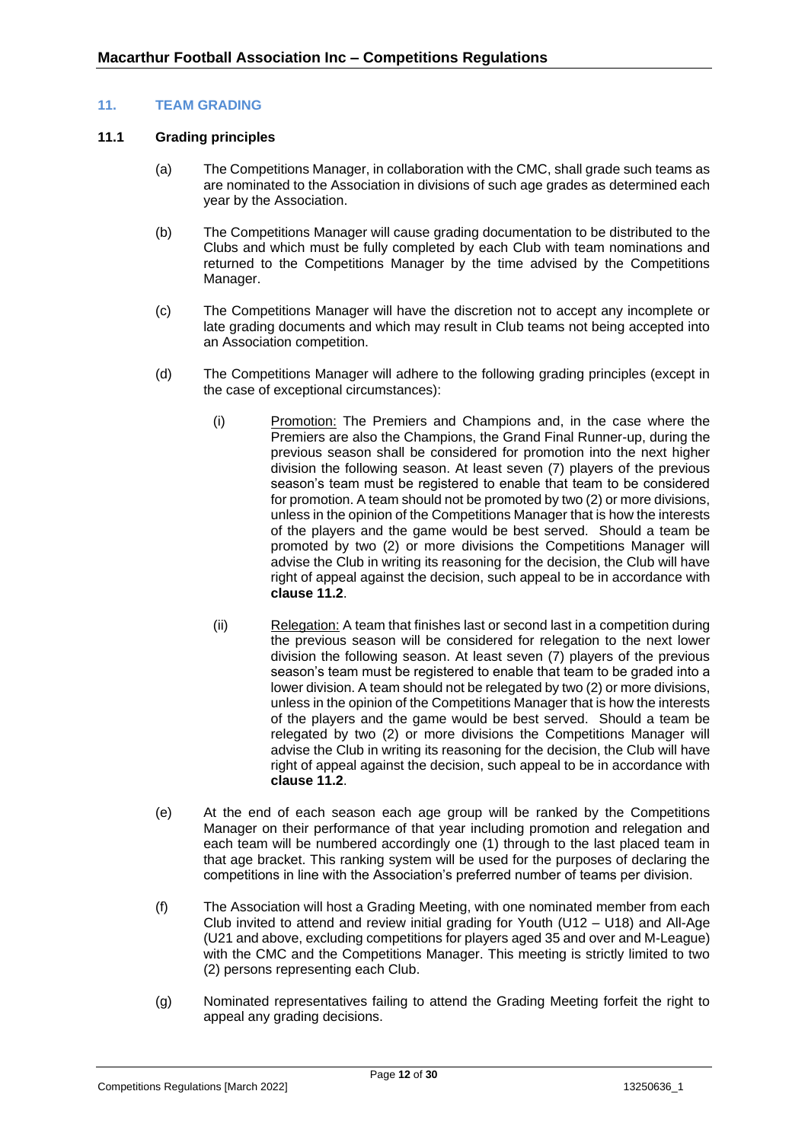## <span id="page-11-0"></span>**11. TEAM GRADING**

#### <span id="page-11-1"></span>**11.1 Grading principles**

- (a) The Competitions Manager, in collaboration with the CMC, shall grade such teams as are nominated to the Association in divisions of such age grades as determined each year by the Association.
- (b) The Competitions Manager will cause grading documentation to be distributed to the Clubs and which must be fully completed by each Club with team nominations and returned to the Competitions Manager by the time advised by the Competitions Manager.
- (c) The Competitions Manager will have the discretion not to accept any incomplete or late grading documents and which may result in Club teams not being accepted into an Association competition.
- (d) The Competitions Manager will adhere to the following grading principles (except in the case of exceptional circumstances):
	- (i) Promotion: The Premiers and Champions and, in the case where the Premiers are also the Champions, the Grand Final Runner-up, during the previous season shall be considered for promotion into the next higher division the following season. At least seven (7) players of the previous season's team must be registered to enable that team to be considered for promotion. A team should not be promoted by two (2) or more divisions, unless in the opinion of the Competitions Manager that is how the interests of the players and the game would be best served. Should a team be promoted by two (2) or more divisions the Competitions Manager will advise the Club in writing its reasoning for the decision, the Club will have right of appeal against the decision, such appeal to be in accordance with **clause [11.2](#page-12-0)**.
	- (ii) Relegation: A team that finishes last or second last in a competition during the previous season will be considered for relegation to the next lower division the following season. At least seven (7) players of the previous season's team must be registered to enable that team to be graded into a lower division. A team should not be relegated by two (2) or more divisions, unless in the opinion of the Competitions Manager that is how the interests of the players and the game would be best served. Should a team be relegated by two (2) or more divisions the Competitions Manager will advise the Club in writing its reasoning for the decision, the Club will have right of appeal against the decision, such appeal to be in accordance with **clause [11.2](#page-12-0)**.
- (e) At the end of each season each age group will be ranked by the Competitions Manager on their performance of that year including promotion and relegation and each team will be numbered accordingly one (1) through to the last placed team in that age bracket. This ranking system will be used for the purposes of declaring the competitions in line with the Association's preferred number of teams per division.
- (f) The Association will host a Grading Meeting, with one nominated member from each Club invited to attend and review initial grading for Youth (U12 – U18) and All-Age (U21 and above, excluding competitions for players aged 35 and over and M-League) with the CMC and the Competitions Manager. This meeting is strictly limited to two (2) persons representing each Club.
- (g) Nominated representatives failing to attend the Grading Meeting forfeit the right to appeal any grading decisions.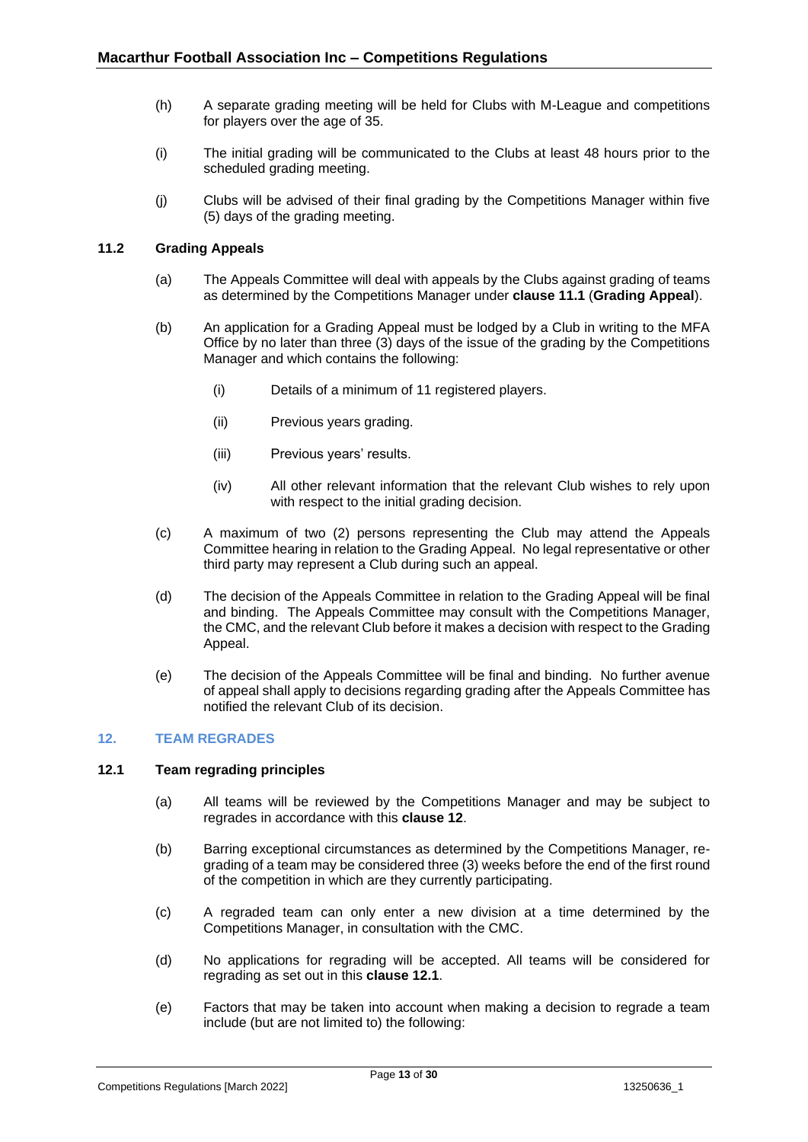- (h) A separate grading meeting will be held for Clubs with M-League and competitions for players over the age of 35.
- (i) The initial grading will be communicated to the Clubs at least 48 hours prior to the scheduled grading meeting.
- (j) Clubs will be advised of their final grading by the Competitions Manager within five (5) days of the grading meeting.

## <span id="page-12-0"></span>**11.2 Grading Appeals**

- (a) The Appeals Committee will deal with appeals by the Clubs against grading of teams as determined by the Competitions Manager under **clause [11.1](#page-11-1)** (**Grading Appeal**).
- (b) An application for a Grading Appeal must be lodged by a Club in writing to the MFA Office by no later than three (3) days of the issue of the grading by the Competitions Manager and which contains the following:
	- (i) Details of a minimum of 11 registered players.
	- (ii) Previous years grading.
	- (iii) Previous years' results.
	- (iv) All other relevant information that the relevant Club wishes to rely upon with respect to the initial grading decision.
- (c) A maximum of two (2) persons representing the Club may attend the Appeals Committee hearing in relation to the Grading Appeal. No legal representative or other third party may represent a Club during such an appeal.
- (d) The decision of the Appeals Committee in relation to the Grading Appeal will be final and binding. The Appeals Committee may consult with the Competitions Manager, the CMC, and the relevant Club before it makes a decision with respect to the Grading Appeal.
- (e) The decision of the Appeals Committee will be final and binding. No further avenue of appeal shall apply to decisions regarding grading after the Appeals Committee has notified the relevant Club of its decision.

## <span id="page-12-1"></span>**12. TEAM REGRADES**

## <span id="page-12-2"></span>**12.1 Team regrading principles**

- (a) All teams will be reviewed by the Competitions Manager and may be subject to regrades in accordance with this **clause [12](#page-12-1)**.
- (b) Barring exceptional circumstances as determined by the Competitions Manager, regrading of a team may be considered three (3) weeks before the end of the first round of the competition in which are they currently participating.
- (c) A regraded team can only enter a new division at a time determined by the Competitions Manager, in consultation with the CMC.
- (d) No applications for regrading will be accepted. All teams will be considered for regrading as set out in this **clause [12.1](#page-12-2)**.
- (e) Factors that may be taken into account when making a decision to regrade a team include (but are not limited to) the following: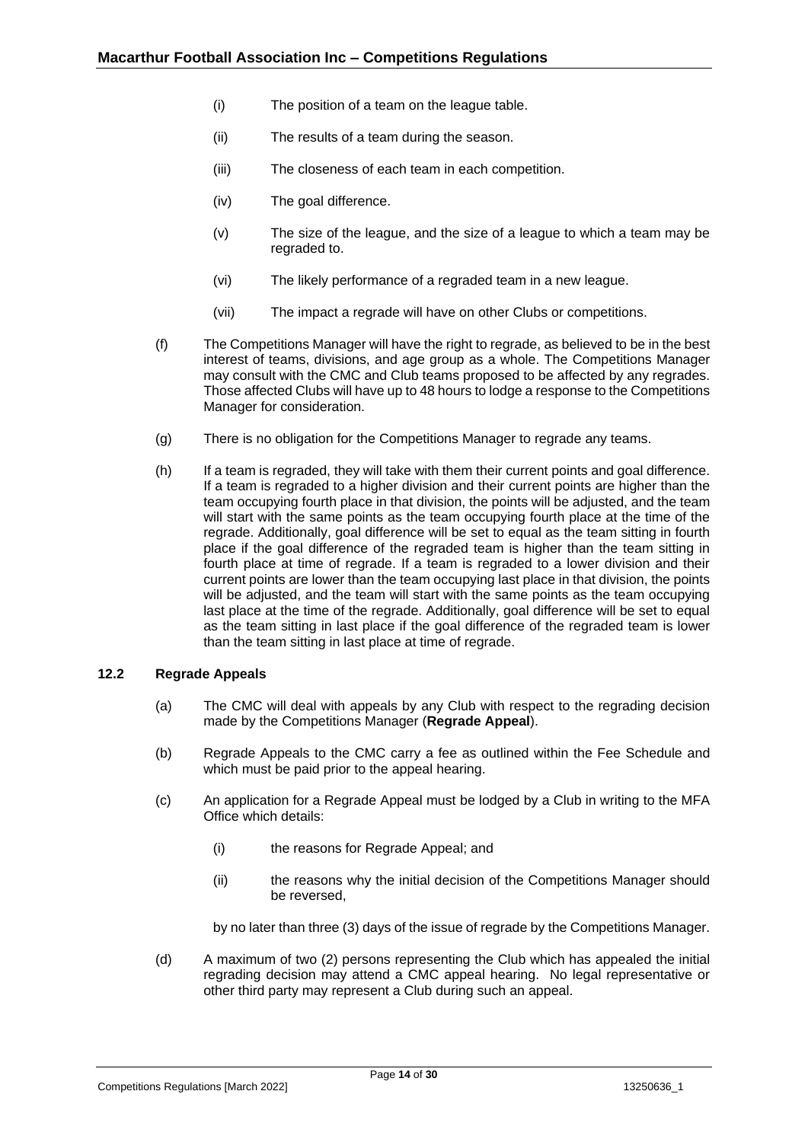- (i) The position of a team on the league table.
- (ii) The results of a team during the season.
- (iii) The closeness of each team in each competition.
- (iv) The goal difference.
- (v) The size of the league, and the size of a league to which a team may be regraded to.
- (vi) The likely performance of a regraded team in a new league.
- (vii) The impact a regrade will have on other Clubs or competitions.
- (f) The Competitions Manager will have the right to regrade, as believed to be in the best interest of teams, divisions, and age group as a whole. The Competitions Manager may consult with the CMC and Club teams proposed to be affected by any regrades. Those affected Clubs will have up to 48 hours to lodge a response to the Competitions Manager for consideration.
- (g) There is no obligation for the Competitions Manager to regrade any teams.
- (h) If a team is regraded, they will take with them their current points and goal difference. If a team is regraded to a higher division and their current points are higher than the team occupying fourth place in that division, the points will be adjusted, and the team will start with the same points as the team occupying fourth place at the time of the regrade. Additionally, goal difference will be set to equal as the team sitting in fourth place if the goal difference of the regraded team is higher than the team sitting in fourth place at time of regrade. If a team is regraded to a lower division and their current points are lower than the team occupying last place in that division, the points will be adjusted, and the team will start with the same points as the team occupying last place at the time of the regrade. Additionally, goal difference will be set to equal as the team sitting in last place if the goal difference of the regraded team is lower than the team sitting in last place at time of regrade.

## <span id="page-13-0"></span>**12.2 Regrade Appeals**

- (a) The CMC will deal with appeals by any Club with respect to the regrading decision made by the Competitions Manager (**Regrade Appeal**).
- (b) Regrade Appeals to the CMC carry a fee as outlined within the Fee Schedule and which must be paid prior to the appeal hearing.
- (c) An application for a Regrade Appeal must be lodged by a Club in writing to the MFA Office which details:
	- (i) the reasons for Regrade Appeal; and
	- (ii) the reasons why the initial decision of the Competitions Manager should be reversed,

by no later than three (3) days of the issue of regrade by the Competitions Manager.

(d) A maximum of two (2) persons representing the Club which has appealed the initial regrading decision may attend a CMC appeal hearing. No legal representative or other third party may represent a Club during such an appeal.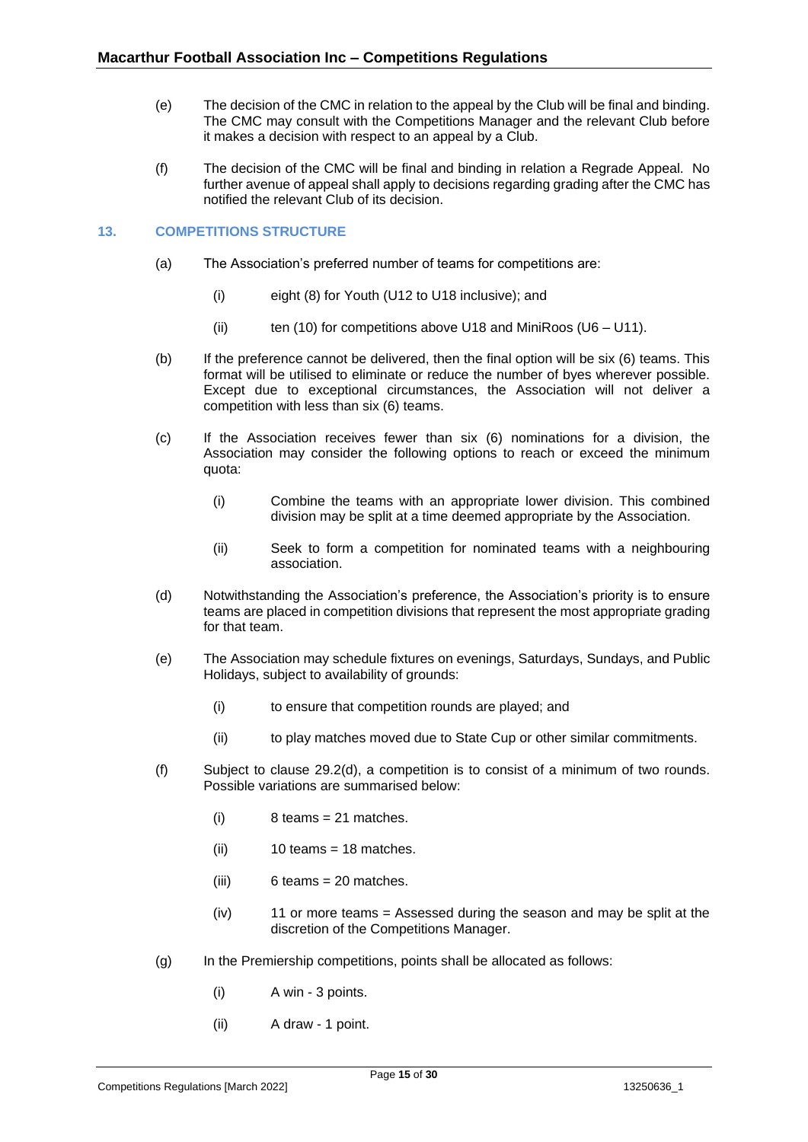- (e) The decision of the CMC in relation to the appeal by the Club will be final and binding. The CMC may consult with the Competitions Manager and the relevant Club before it makes a decision with respect to an appeal by a Club.
- (f) The decision of the CMC will be final and binding in relation a Regrade Appeal. No further avenue of appeal shall apply to decisions regarding grading after the CMC has notified the relevant Club of its decision.

## <span id="page-14-0"></span>**13. COMPETITIONS STRUCTURE**

- (a) The Association's preferred number of teams for competitions are:
	- (i) eight (8) for Youth (U12 to U18 inclusive); and
	- (ii) ten (10) for competitions above U18 and MiniRoos ( $U6 U11$ ).
- (b) If the preference cannot be delivered, then the final option will be six (6) teams. This format will be utilised to eliminate or reduce the number of byes wherever possible. Except due to exceptional circumstances, the Association will not deliver a competition with less than six (6) teams.
- (c) If the Association receives fewer than six (6) nominations for a division, the Association may consider the following options to reach or exceed the minimum quota:
	- (i) Combine the teams with an appropriate lower division. This combined division may be split at a time deemed appropriate by the Association.
	- (ii) Seek to form a competition for nominated teams with a neighbouring association.
- (d) Notwithstanding the Association's preference, the Association's priority is to ensure teams are placed in competition divisions that represent the most appropriate grading for that team.
- (e) The Association may schedule fixtures on evenings, Saturdays, Sundays, and Public Holidays, subject to availability of grounds:
	- (i) to ensure that competition rounds are played; and
	- (ii) to play matches moved due to State Cup or other similar commitments.
- (f) Subject to clause [29.2\(d\),](#page-27-2) a competition is to consist of a minimum of two rounds. Possible variations are summarised below:
	- $(i)$  8 teams = 21 matches.
	- $(ii)$  10 teams = 18 matches.
	- (iii) 6 teams = 20 matches.
	- (iv) 11 or more teams = Assessed during the season and may be split at the discretion of the Competitions Manager.
- (g) In the Premiership competitions, points shall be allocated as follows:
	- (i) A win 3 points.
	- (ii) A draw 1 point.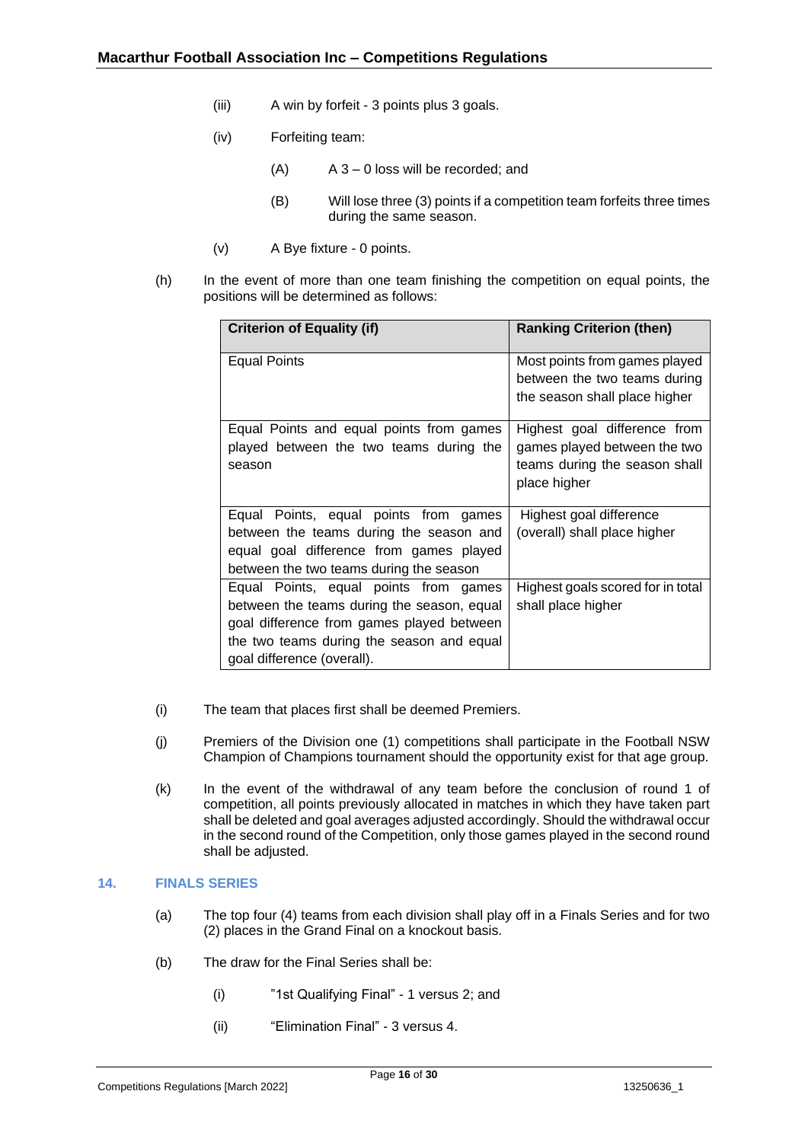- (iii) A win by forfeit 3 points plus 3 goals.
- (iv) Forfeiting team:
	- $(A)$  A 3 0 loss will be recorded; and
	- (B) Will lose three (3) points if a competition team forfeits three times during the same season.
- (v) A Bye fixture 0 points.
- (h) In the event of more than one team finishing the competition on equal points, the positions will be determined as follows:

| <b>Criterion of Equality (if)</b>                                                                                                                                                                           | <b>Ranking Criterion (then)</b>                                                                               |
|-------------------------------------------------------------------------------------------------------------------------------------------------------------------------------------------------------------|---------------------------------------------------------------------------------------------------------------|
| Equal Points                                                                                                                                                                                                | Most points from games played<br>between the two teams during<br>the season shall place higher                |
| Equal Points and equal points from games<br>played between the two teams during the<br>season                                                                                                               | Highest goal difference from<br>games played between the two<br>teams during the season shall<br>place higher |
| Equal Points, equal points from games<br>between the teams during the season and<br>equal goal difference from games played<br>between the two teams during the season                                      | Highest goal difference<br>(overall) shall place higher                                                       |
| Equal Points, equal points from games<br>between the teams during the season, equal<br>goal difference from games played between<br>the two teams during the season and equal<br>goal difference (overall). | Highest goals scored for in total<br>shall place higher                                                       |

- (i) The team that places first shall be deemed Premiers.
- (j) Premiers of the Division one (1) competitions shall participate in the Football NSW Champion of Champions tournament should the opportunity exist for that age group.
- (k) In the event of the withdrawal of any team before the conclusion of round 1 of competition, all points previously allocated in matches in which they have taken part shall be deleted and goal averages adjusted accordingly. Should the withdrawal occur in the second round of the Competition, only those games played in the second round shall be adjusted.

## <span id="page-15-0"></span>**14. FINALS SERIES**

- (a) The top four (4) teams from each division shall play off in a Finals Series and for two (2) places in the Grand Final on a knockout basis.
- (b) The draw for the Final Series shall be:
	- (i) "1st Qualifying Final" 1 versus 2; and
	- (ii) "Elimination Final" 3 versus 4.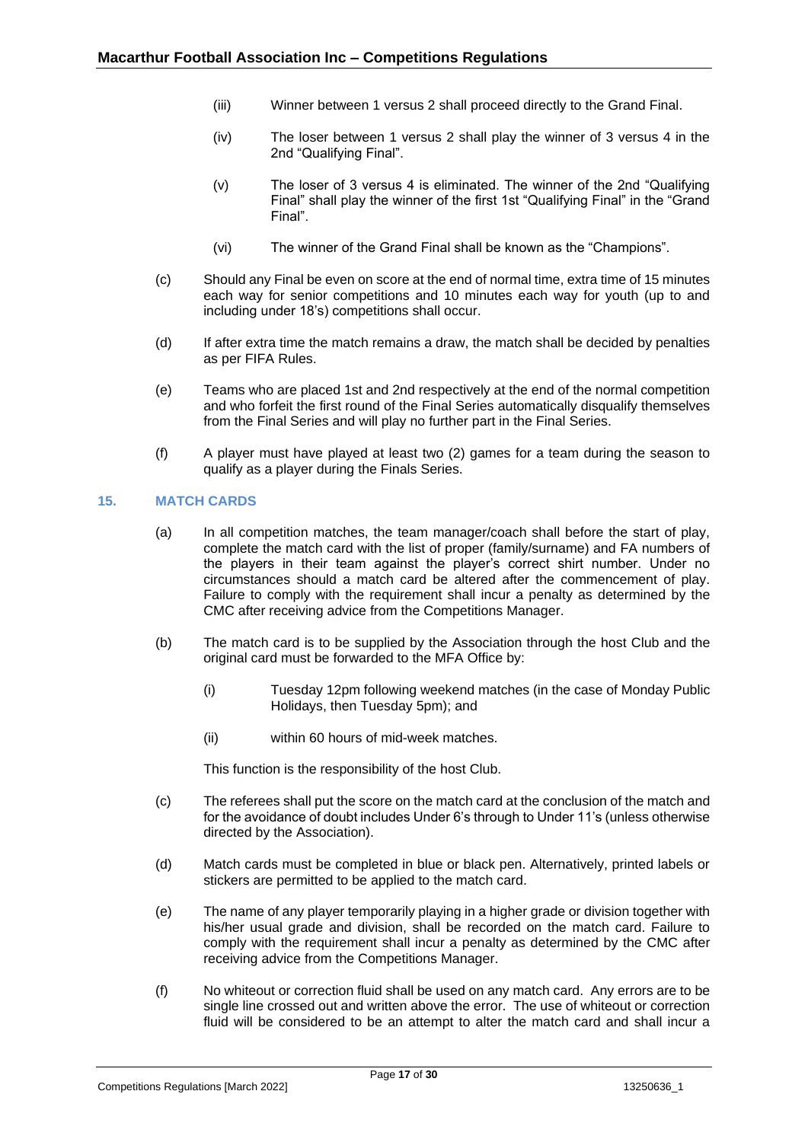- (iii) Winner between 1 versus 2 shall proceed directly to the Grand Final.
- (iv) The loser between 1 versus 2 shall play the winner of 3 versus 4 in the 2nd "Qualifying Final".
- (v) The loser of 3 versus 4 is eliminated. The winner of the 2nd "Qualifying Final" shall play the winner of the first 1st "Qualifying Final" in the "Grand Final".
- (vi) The winner of the Grand Final shall be known as the "Champions".
- (c) Should any Final be even on score at the end of normal time, extra time of 15 minutes each way for senior competitions and 10 minutes each way for youth (up to and including under 18's) competitions shall occur.
- (d) If after extra time the match remains a draw, the match shall be decided by penalties as per FIFA Rules.
- (e) Teams who are placed 1st and 2nd respectively at the end of the normal competition and who forfeit the first round of the Final Series automatically disqualify themselves from the Final Series and will play no further part in the Final Series.
- (f) A player must have played at least two (2) games for a team during the season to qualify as a player during the Finals Series.

## <span id="page-16-0"></span>**15. MATCH CARDS**

- (a) In all competition matches, the team manager/coach shall before the start of play, complete the match card with the list of proper (family/surname) and FA numbers of the players in their team against the player's correct shirt number. Under no circumstances should a match card be altered after the commencement of play. Failure to comply with the requirement shall incur a penalty as determined by the CMC after receiving advice from the Competitions Manager.
- (b) The match card is to be supplied by the Association through the host Club and the original card must be forwarded to the MFA Office by:
	- (i) Tuesday 12pm following weekend matches (in the case of Monday Public Holidays, then Tuesday 5pm); and
	- (ii) within 60 hours of mid-week matches.

This function is the responsibility of the host Club.

- (c) The referees shall put the score on the match card at the conclusion of the match and for the avoidance of doubt includes Under 6's through to Under 11's (unless otherwise directed by the Association).
- (d) Match cards must be completed in blue or black pen. Alternatively, printed labels or stickers are permitted to be applied to the match card.
- (e) The name of any player temporarily playing in a higher grade or division together with his/her usual grade and division, shall be recorded on the match card. Failure to comply with the requirement shall incur a penalty as determined by the CMC after receiving advice from the Competitions Manager.
- (f) No whiteout or correction fluid shall be used on any match card. Any errors are to be single line crossed out and written above the error. The use of whiteout or correction fluid will be considered to be an attempt to alter the match card and shall incur a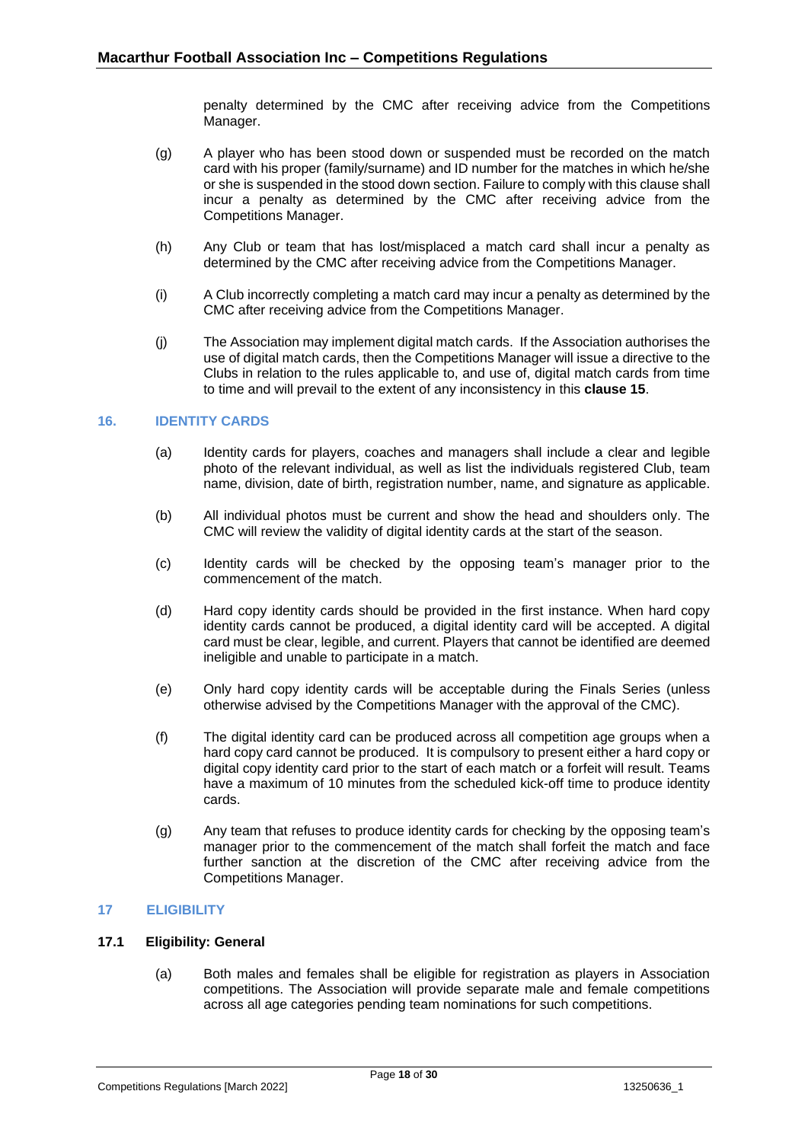penalty determined by the CMC after receiving advice from the Competitions Manager.

- (g) A player who has been stood down or suspended must be recorded on the match card with his proper (family/surname) and ID number for the matches in which he/she or she is suspended in the stood down section. Failure to comply with this clause shall incur a penalty as determined by the CMC after receiving advice from the Competitions Manager.
- (h) Any Club or team that has lost/misplaced a match card shall incur a penalty as determined by the CMC after receiving advice from the Competitions Manager.
- (i) A Club incorrectly completing a match card may incur a penalty as determined by the CMC after receiving advice from the Competitions Manager.
- (j) The Association may implement digital match cards. If the Association authorises the use of digital match cards, then the Competitions Manager will issue a directive to the Clubs in relation to the rules applicable to, and use of, digital match cards from time to time and will prevail to the extent of any inconsistency in this **clause [15](#page-16-0)**.

## <span id="page-17-0"></span>**16. IDENTITY CARDS**

- (a) Identity cards for players, coaches and managers shall include a clear and legible photo of the relevant individual, as well as list the individuals registered Club, team name, division, date of birth, registration number, name, and signature as applicable.
- (b) All individual photos must be current and show the head and shoulders only. The CMC will review the validity of digital identity cards at the start of the season.
- (c) Identity cards will be checked by the opposing team's manager prior to the commencement of the match.
- (d) Hard copy identity cards should be provided in the first instance. When hard copy identity cards cannot be produced, a digital identity card will be accepted. A digital card must be clear, legible, and current. Players that cannot be identified are deemed ineligible and unable to participate in a match.
- (e) Only hard copy identity cards will be acceptable during the Finals Series (unless otherwise advised by the Competitions Manager with the approval of the CMC).
- (f) The digital identity card can be produced across all competition age groups when a hard copy card cannot be produced. It is compulsory to present either a hard copy or digital copy identity card prior to the start of each match or a forfeit will result. Teams have a maximum of 10 minutes from the scheduled kick-off time to produce identity cards.
- (g) Any team that refuses to produce identity cards for checking by the opposing team's manager prior to the commencement of the match shall forfeit the match and face further sanction at the discretion of the CMC after receiving advice from the Competitions Manager.

#### <span id="page-17-1"></span>**17 ELIGIBILITY**

## <span id="page-17-2"></span>**17.1 Eligibility: General**

(a) Both males and females shall be eligible for registration as players in Association competitions. The Association will provide separate male and female competitions across all age categories pending team nominations for such competitions.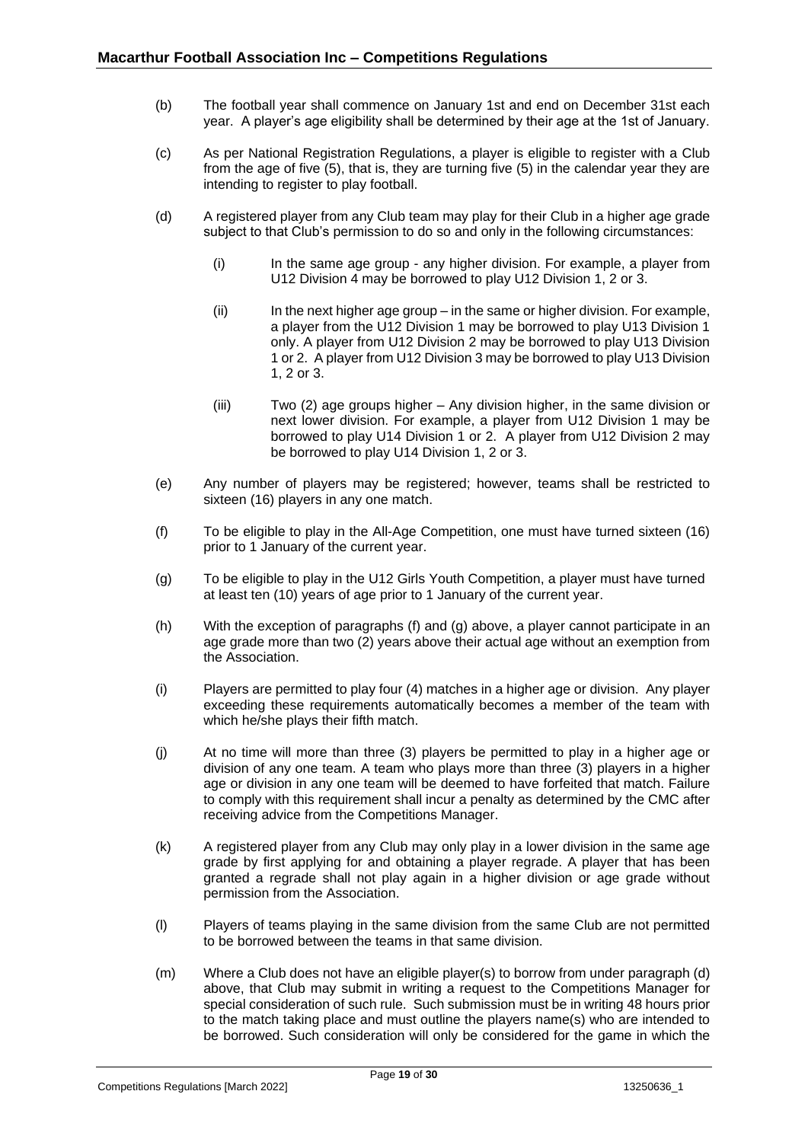- (b) The football year shall commence on January 1st and end on December 31st each year. A player's age eligibility shall be determined by their age at the 1st of January.
- (c) As per National Registration Regulations, a player is eligible to register with a Club from the age of five (5), that is, they are turning five (5) in the calendar year they are intending to register to play football.
- (d) A registered player from any Club team may play for their Club in a higher age grade subject to that Club's permission to do so and only in the following circumstances:
	- (i) In the same age group any higher division. For example, a player from U12 Division 4 may be borrowed to play U12 Division 1, 2 or 3.
	- (ii) In the next higher age group in the same or higher division. For example, a player from the U12 Division 1 may be borrowed to play U13 Division 1 only. A player from U12 Division 2 may be borrowed to play U13 Division 1 or 2. A player from U12 Division 3 may be borrowed to play U13 Division 1, 2 or 3.
	- (iii) Two (2) age groups higher Any division higher, in the same division or next lower division. For example, a player from U12 Division 1 may be borrowed to play U14 Division 1 or 2. A player from U12 Division 2 may be borrowed to play U14 Division 1, 2 or 3.
- (e) Any number of players may be registered; however, teams shall be restricted to sixteen (16) players in any one match.
- (f) To be eligible to play in the All-Age Competition, one must have turned sixteen (16) prior to 1 January of the current year.
- (g) To be eligible to play in the U12 Girls Youth Competition, a player must have turned at least ten (10) years of age prior to 1 January of the current year.
- (h) With the exception of paragraphs (f) and (g) above, a player cannot participate in an age grade more than two (2) years above their actual age without an exemption from the Association.
- (i) Players are permitted to play four (4) matches in a higher age or division. Any player exceeding these requirements automatically becomes a member of the team with which he/she plays their fifth match.
- (j) At no time will more than three (3) players be permitted to play in a higher age or division of any one team. A team who plays more than three (3) players in a higher age or division in any one team will be deemed to have forfeited that match. Failure to comply with this requirement shall incur a penalty as determined by the CMC after receiving advice from the Competitions Manager.
- (k) A registered player from any Club may only play in a lower division in the same age grade by first applying for and obtaining a player regrade. A player that has been granted a regrade shall not play again in a higher division or age grade without permission from the Association.
- (l) Players of teams playing in the same division from the same Club are not permitted to be borrowed between the teams in that same division.
- (m) Where a Club does not have an eligible player(s) to borrow from under paragraph (d) above, that Club may submit in writing a request to the Competitions Manager for special consideration of such rule. Such submission must be in writing 48 hours prior to the match taking place and must outline the players name(s) who are intended to be borrowed. Such consideration will only be considered for the game in which the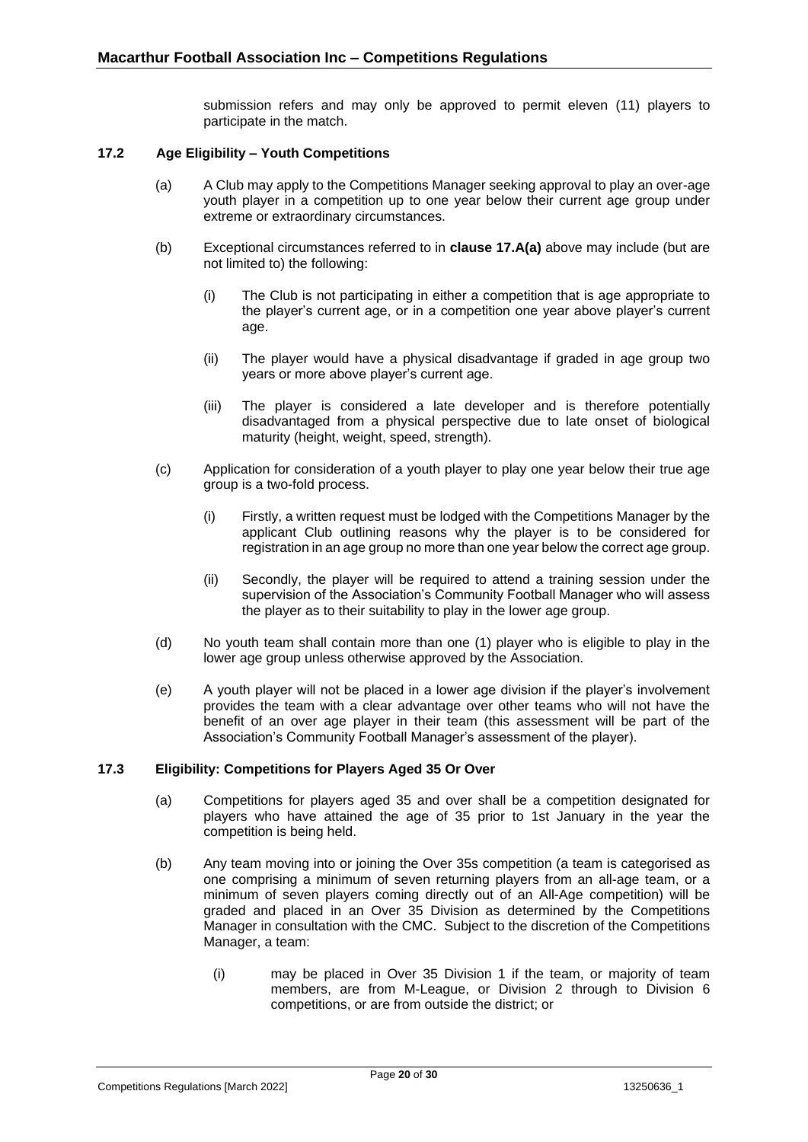submission refers and may only be approved to permit eleven (11) players to participate in the match.

#### **17.2 Age Eligibility – Youth Competitions**

- <span id="page-19-0"></span>(a) A Club may apply to the Competitions Manager seeking approval to play an over-age youth player in a competition up to one year below their current age group under extreme or extraordinary circumstances.
- (b) Exceptional circumstances referred to in **clause 17.A(a)** above may include (but are not limited to) the following:
	- (i) The Club is not participating in either a competition that is age appropriate to the player's current age, or in a competition one year above player's current age.
	- (ii) The player would have a physical disadvantage if graded in age group two years or more above player's current age.
	- (iii) The player is considered a late developer and is therefore potentially disadvantaged from a physical perspective due to late onset of biological maturity (height, weight, speed, strength).
- (c) Application for consideration of a youth player to play one year below their true age group is a two-fold process.
	- (i) Firstly, a written request must be lodged with the Competitions Manager by the applicant Club outlining reasons why the player is to be considered for registration in an age group no more than one year below the correct age group.
	- (ii) Secondly, the player will be required to attend a training session under the supervision of the Association's Community Football Manager who will assess the player as to their suitability to play in the lower age group.
- (d) No youth team shall contain more than one (1) player who is eligible to play in the lower age group unless otherwise approved by the Association.
- (e) A youth player will not be placed in a lower age division if the player's involvement provides the team with a clear advantage over other teams who will not have the benefit of an over age player in their team (this assessment will be part of the Association's Community Football Manager's assessment of the player).

#### <span id="page-19-1"></span>**17.3 Eligibility: Competitions for Players Aged 35 Or Over**

- (a) Competitions for players aged 35 and over shall be a competition designated for players who have attained the age of 35 prior to 1st January in the year the competition is being held.
- (b) Any team moving into or joining the Over 35s competition (a team is categorised as one comprising a minimum of seven returning players from an all-age team, or a minimum of seven players coming directly out of an All-Age competition) will be graded and placed in an Over 35 Division as determined by the Competitions Manager in consultation with the CMC. Subject to the discretion of the Competitions Manager, a team:
	- (i) may be placed in Over 35 Division 1 if the team, or majority of team members, are from M-League, or Division 2 through to Division 6 competitions, or are from outside the district; or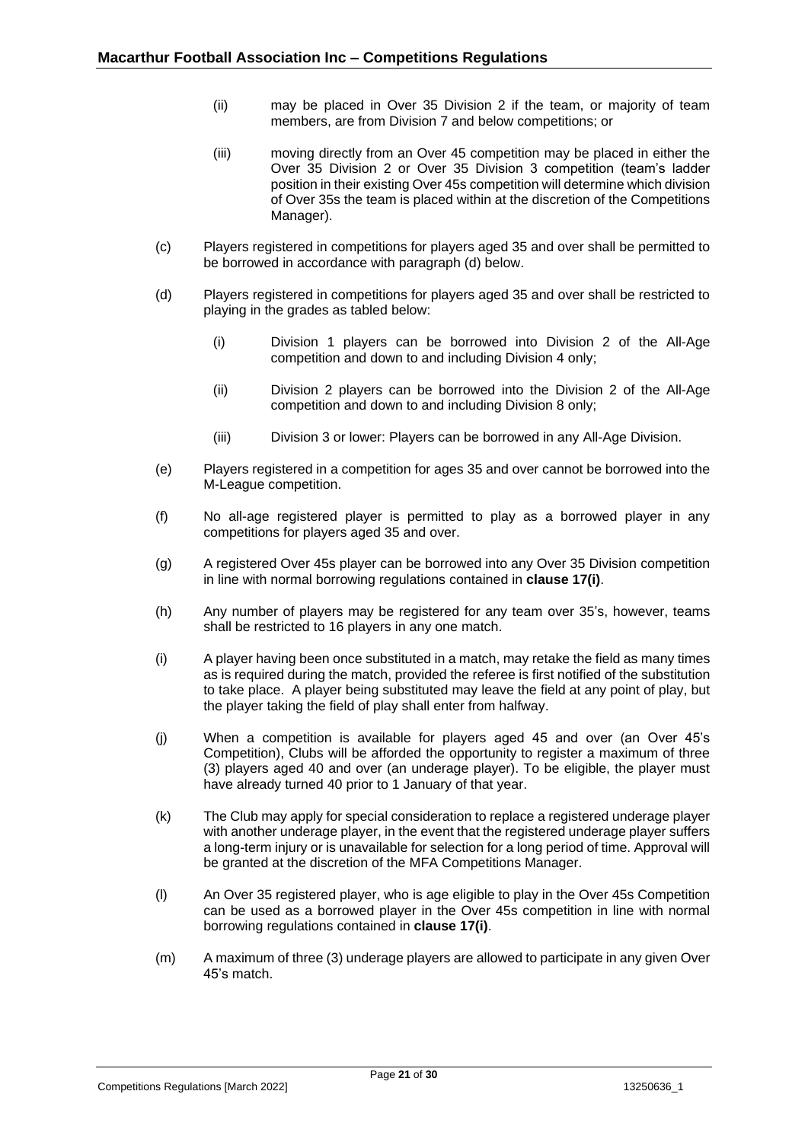- (ii) may be placed in Over 35 Division 2 if the team, or majority of team members, are from Division 7 and below competitions; or
- (iii) moving directly from an Over 45 competition may be placed in either the Over 35 Division 2 or Over 35 Division 3 competition (team's ladder position in their existing Over 45s competition will determine which division of Over 35s the team is placed within at the discretion of the Competitions Manager).
- (c) Players registered in competitions for players aged 35 and over shall be permitted to be borrowed in accordance with paragraph (d) below.
- (d) Players registered in competitions for players aged 35 and over shall be restricted to playing in the grades as tabled below:
	- (i) Division 1 players can be borrowed into Division 2 of the All-Age competition and down to and including Division 4 only;
	- (ii) Division 2 players can be borrowed into the Division 2 of the All-Age competition and down to and including Division 8 only;
	- (iii) Division 3 or lower: Players can be borrowed in any All-Age Division.
- (e) Players registered in a competition for ages 35 and over cannot be borrowed into the M-League competition.
- (f) No all-age registered player is permitted to play as a borrowed player in any competitions for players aged 35 and over.
- (g) A registered Over 45s player can be borrowed into any Over 35 Division competition in line with normal borrowing regulations contained in **clause 17(i)**.
- (h) Any number of players may be registered for any team over 35's, however, teams shall be restricted to 16 players in any one match.
- (i) A player having been once substituted in a match, may retake the field as many times as is required during the match, provided the referee is first notified of the substitution to take place. A player being substituted may leave the field at any point of play, but the player taking the field of play shall enter from halfway.
- (j) When a competition is available for players aged 45 and over (an Over 45's Competition), Clubs will be afforded the opportunity to register a maximum of three (3) players aged 40 and over (an underage player). To be eligible, the player must have already turned 40 prior to 1 January of that year.
- (k) The Club may apply for special consideration to replace a registered underage player with another underage player, in the event that the registered underage player suffers a long-term injury or is unavailable for selection for a long period of time. Approval will be granted at the discretion of the MFA Competitions Manager.
- (l) An Over 35 registered player, who is age eligible to play in the Over 45s Competition can be used as a borrowed player in the Over 45s competition in line with normal borrowing regulations contained in **clause 17(i)**.
- (m) A maximum of three (3) underage players are allowed to participate in any given Over 45's match.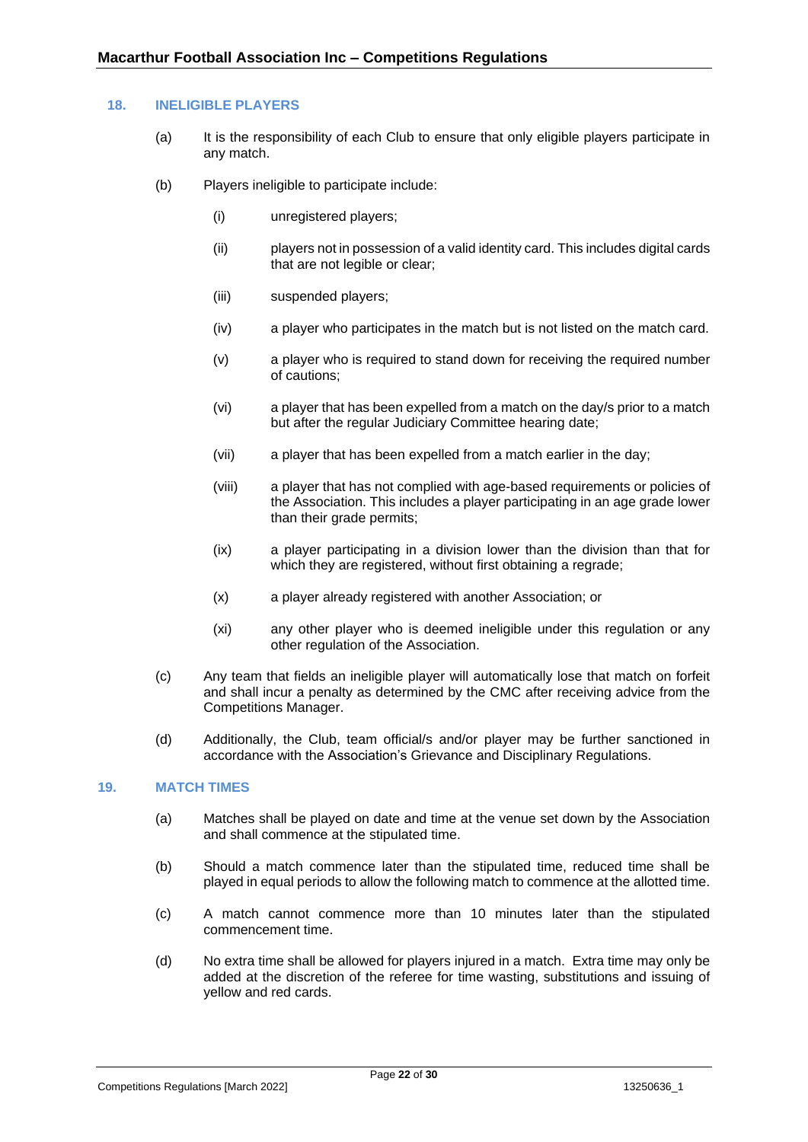#### <span id="page-21-0"></span>**18. INELIGIBLE PLAYERS**

- (a) It is the responsibility of each Club to ensure that only eligible players participate in any match.
- (b) Players ineligible to participate include:
	- (i) unregistered players;
	- (ii) players not in possession of a valid identity card. This includes digital cards that are not legible or clear;
	- (iii) suspended players;
	- (iv) a player who participates in the match but is not listed on the match card.
	- (v) a player who is required to stand down for receiving the required number of cautions;
	- (vi) a player that has been expelled from a match on the day/s prior to a match but after the regular Judiciary Committee hearing date;
	- (vii) a player that has been expelled from a match earlier in the day;
	- (viii) a player that has not complied with age-based requirements or policies of the Association. This includes a player participating in an age grade lower than their grade permits;
	- (ix) a player participating in a division lower than the division than that for which they are registered, without first obtaining a regrade;
	- (x) a player already registered with another Association; or
	- (xi) any other player who is deemed ineligible under this regulation or any other regulation of the Association.
- (c) Any team that fields an ineligible player will automatically lose that match on forfeit and shall incur a penalty as determined by the CMC after receiving advice from the Competitions Manager.
- (d) Additionally, the Club, team official/s and/or player may be further sanctioned in accordance with the Association's Grievance and Disciplinary Regulations.

## <span id="page-21-1"></span>**19. MATCH TIMES**

- (a) Matches shall be played on date and time at the venue set down by the Association and shall commence at the stipulated time.
- (b) Should a match commence later than the stipulated time, reduced time shall be played in equal periods to allow the following match to commence at the allotted time.
- (c) A match cannot commence more than 10 minutes later than the stipulated commencement time.
- (d) No extra time shall be allowed for players injured in a match. Extra time may only be added at the discretion of the referee for time wasting, substitutions and issuing of yellow and red cards.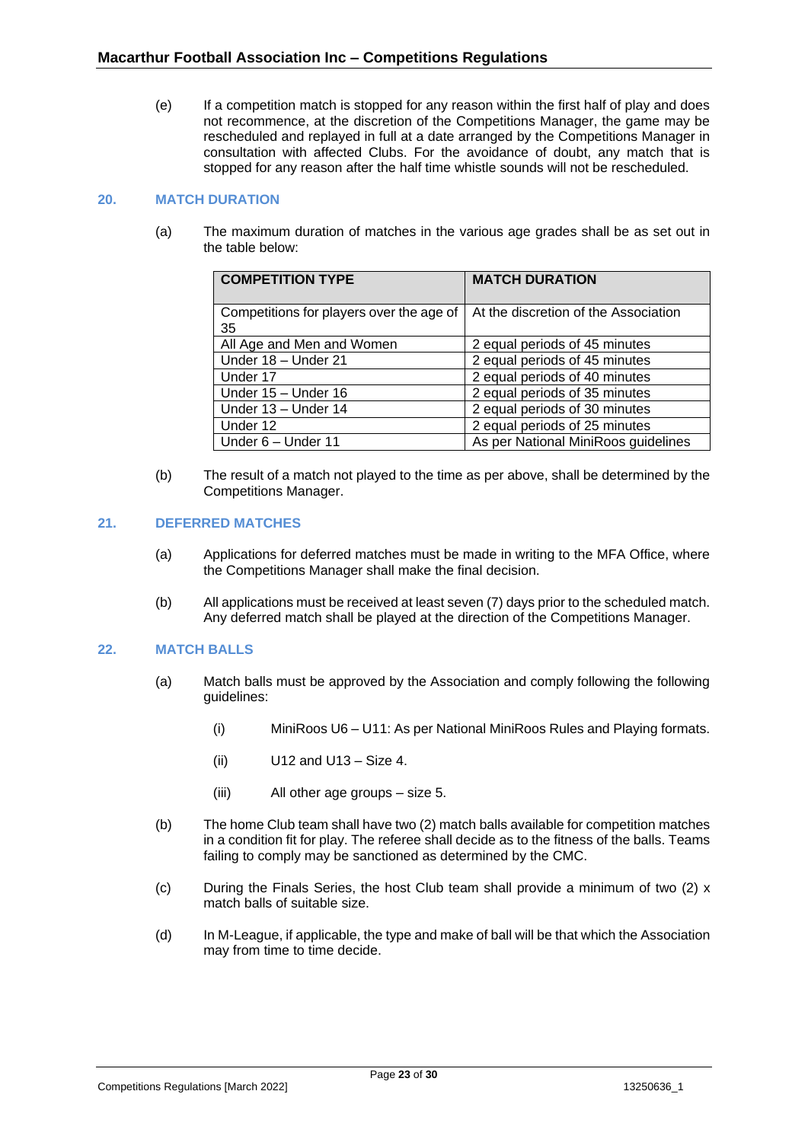(e) If a competition match is stopped for any reason within the first half of play and does not recommence, at the discretion of the Competitions Manager, the game may be rescheduled and replayed in full at a date arranged by the Competitions Manager in consultation with affected Clubs. For the avoidance of doubt, any match that is stopped for any reason after the half time whistle sounds will not be rescheduled.

#### <span id="page-22-0"></span>**20. MATCH DURATION**

(a) The maximum duration of matches in the various age grades shall be as set out in the table below:

| <b>COMPETITION TYPE</b>                        | <b>MATCH DURATION</b>                |
|------------------------------------------------|--------------------------------------|
| Competitions for players over the age of<br>35 | At the discretion of the Association |
| All Age and Men and Women                      | 2 equal periods of 45 minutes        |
| Under 18 - Under 21                            | 2 equal periods of 45 minutes        |
| Under 17                                       | 2 equal periods of 40 minutes        |
| Under 15 - Under 16                            | 2 equal periods of 35 minutes        |
| Under 13 - Under 14                            | 2 equal periods of 30 minutes        |
| Under 12                                       | 2 equal periods of 25 minutes        |
| Under 6 - Under 11                             | As per National MiniRoos guidelines  |

(b) The result of a match not played to the time as per above, shall be determined by the Competitions Manager.

#### <span id="page-22-1"></span>**21. DEFERRED MATCHES**

- (a) Applications for deferred matches must be made in writing to the MFA Office, where the Competitions Manager shall make the final decision.
- (b) All applications must be received at least seven (7) days prior to the scheduled match. Any deferred match shall be played at the direction of the Competitions Manager.

## <span id="page-22-2"></span>**22. MATCH BALLS**

- (a) Match balls must be approved by the Association and comply following the following guidelines:
	- (i) MiniRoos U6 U11: As per National MiniRoos Rules and Playing formats.
	- (ii) U12 and U13 Size 4.
	- (iii) All other age groups size 5.
- (b) The home Club team shall have two (2) match balls available for competition matches in a condition fit for play. The referee shall decide as to the fitness of the balls. Teams failing to comply may be sanctioned as determined by the CMC.
- (c) During the Finals Series, the host Club team shall provide a minimum of two (2) x match balls of suitable size.
- (d) In M-League, if applicable, the type and make of ball will be that which the Association may from time to time decide.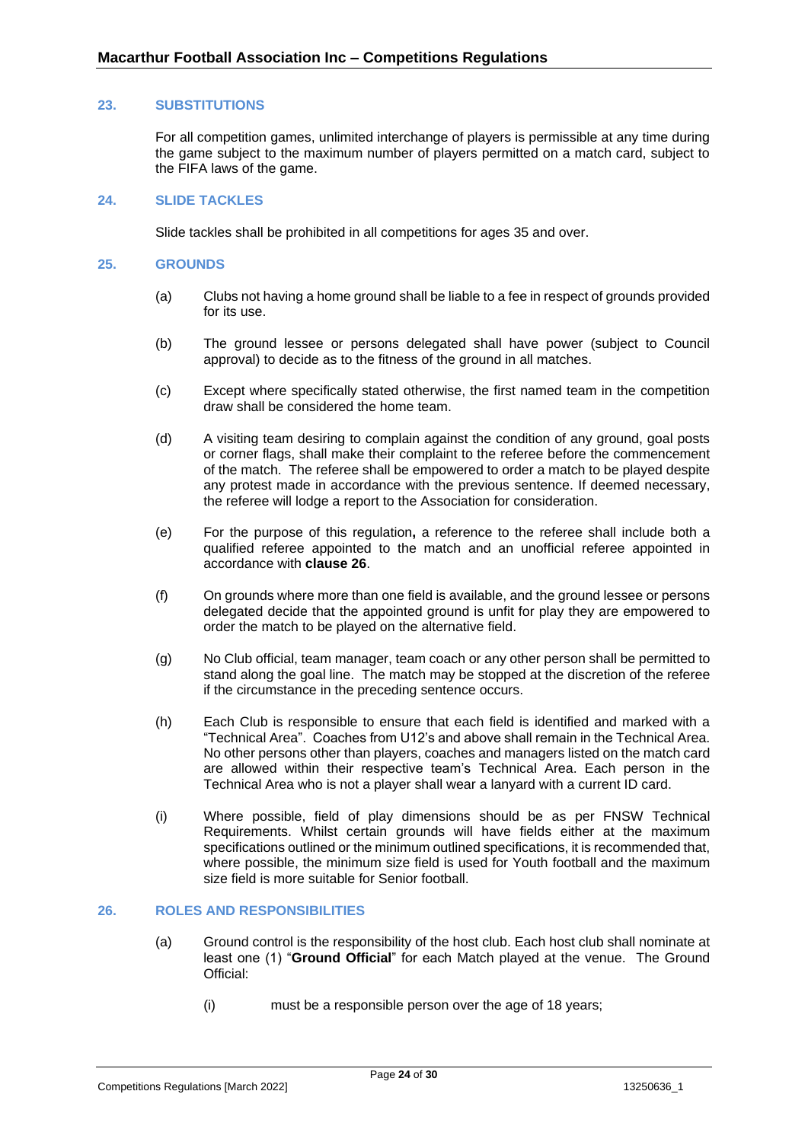#### <span id="page-23-0"></span>**23. SUBSTITUTIONS**

For all competition games, unlimited interchange of players is permissible at any time during the game subject to the maximum number of players permitted on a match card, subject to the FIFA laws of the game.

## <span id="page-23-1"></span>**24. SLIDE TACKLES**

Slide tackles shall be prohibited in all competitions for ages 35 and over.

#### <span id="page-23-2"></span>**25. GROUNDS**

- (a) Clubs not having a home ground shall be liable to a fee in respect of grounds provided for its use.
- (b) The ground lessee or persons delegated shall have power (subject to Council approval) to decide as to the fitness of the ground in all matches.
- (c) Except where specifically stated otherwise, the first named team in the competition draw shall be considered the home team.
- (d) A visiting team desiring to complain against the condition of any ground, goal posts or corner flags, shall make their complaint to the referee before the commencement of the match. The referee shall be empowered to order a match to be played despite any protest made in accordance with the previous sentence. If deemed necessary, the referee will lodge a report to the Association for consideration.
- (e) For the purpose of this regulation**,** a reference to the referee shall include both a qualified referee appointed to the match and an unofficial referee appointed in accordance with **clause [26](#page-23-3)**.
- (f) On grounds where more than one field is available, and the ground lessee or persons delegated decide that the appointed ground is unfit for play they are empowered to order the match to be played on the alternative field.
- (g) No Club official, team manager, team coach or any other person shall be permitted to stand along the goal line. The match may be stopped at the discretion of the referee if the circumstance in the preceding sentence occurs.
- (h) Each Club is responsible to ensure that each field is identified and marked with a "Technical Area". Coaches from U12's and above shall remain in the Technical Area. No other persons other than players, coaches and managers listed on the match card are allowed within their respective team's Technical Area. Each person in the Technical Area who is not a player shall wear a lanyard with a current ID card.
- (i) Where possible, field of play dimensions should be as per FNSW Technical Requirements. Whilst certain grounds will have fields either at the maximum specifications outlined or the minimum outlined specifications, it is recommended that, where possible, the minimum size field is used for Youth football and the maximum size field is more suitable for Senior football.

#### <span id="page-23-3"></span>**26. ROLES AND RESPONSIBILITIES**

- (a) Ground control is the responsibility of the host club. Each host club shall nominate at least one (1) "**Ground Official**" for each Match played at the venue. The Ground Official:
	- (i) must be a responsible person over the age of 18 years;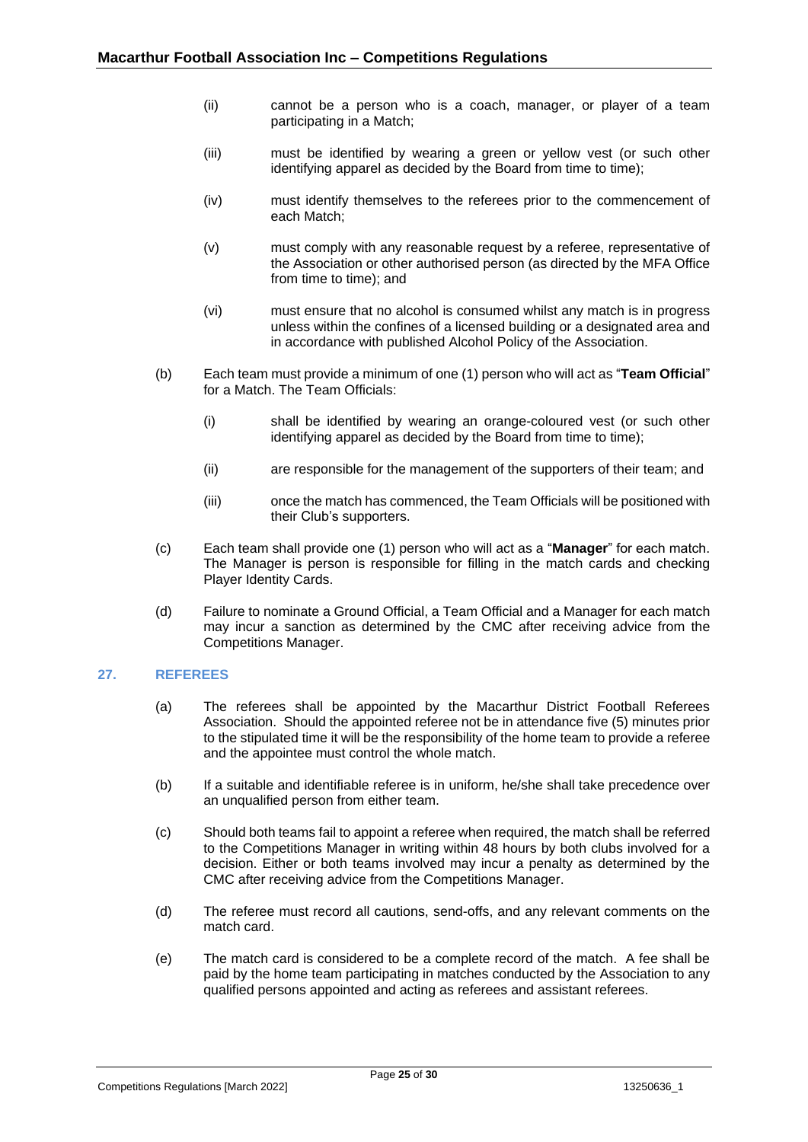- (ii) cannot be a person who is a coach, manager, or player of a team participating in a Match;
- (iii) must be identified by wearing a green or yellow vest (or such other identifying apparel as decided by the Board from time to time);
- (iv) must identify themselves to the referees prior to the commencement of each Match;
- (v) must comply with any reasonable request by a referee, representative of the Association or other authorised person (as directed by the MFA Office from time to time); and
- (vi) must ensure that no alcohol is consumed whilst any match is in progress unless within the confines of a licensed building or a designated area and in accordance with published Alcohol Policy of the Association.
- (b) Each team must provide a minimum of one (1) person who will act as "**Team Official**" for a Match. The Team Officials:
	- (i) shall be identified by wearing an orange-coloured vest (or such other identifying apparel as decided by the Board from time to time);
	- (ii) are responsible for the management of the supporters of their team; and
	- (iii) once the match has commenced, the Team Officials will be positioned with their Club's supporters.
- (c) Each team shall provide one (1) person who will act as a "**Manager**" for each match. The Manager is person is responsible for filling in the match cards and checking Player Identity Cards.
- (d) Failure to nominate a Ground Official, a Team Official and a Manager for each match may incur a sanction as determined by the CMC after receiving advice from the Competitions Manager.

## <span id="page-24-0"></span>**27. REFEREES**

- (a) The referees shall be appointed by the Macarthur District Football Referees Association. Should the appointed referee not be in attendance five (5) minutes prior to the stipulated time it will be the responsibility of the home team to provide a referee and the appointee must control the whole match.
- (b) If a suitable and identifiable referee is in uniform, he/she shall take precedence over an unqualified person from either team.
- (c) Should both teams fail to appoint a referee when required, the match shall be referred to the Competitions Manager in writing within 48 hours by both clubs involved for a decision. Either or both teams involved may incur a penalty as determined by the CMC after receiving advice from the Competitions Manager.
- (d) The referee must record all cautions, send-offs, and any relevant comments on the match card.
- (e) The match card is considered to be a complete record of the match. A fee shall be paid by the home team participating in matches conducted by the Association to any qualified persons appointed and acting as referees and assistant referees.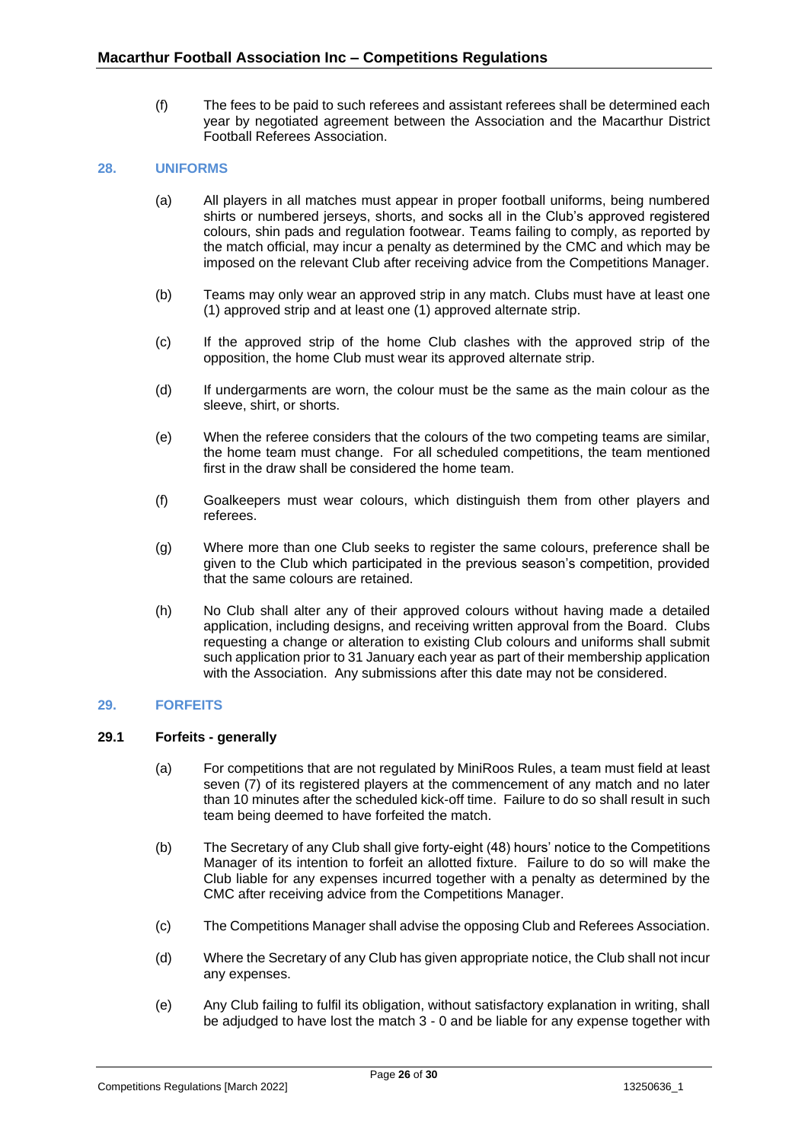(f) The fees to be paid to such referees and assistant referees shall be determined each year by negotiated agreement between the Association and the Macarthur District Football Referees Association.

## <span id="page-25-0"></span>**28. UNIFORMS**

- (a) All players in all matches must appear in proper football uniforms, being numbered shirts or numbered jerseys, shorts, and socks all in the Club's approved registered colours, shin pads and regulation footwear. Teams failing to comply, as reported by the match official, may incur a penalty as determined by the CMC and which may be imposed on the relevant Club after receiving advice from the Competitions Manager.
- (b) Teams may only wear an approved strip in any match. Clubs must have at least one (1) approved strip and at least one (1) approved alternate strip.
- (c) If the approved strip of the home Club clashes with the approved strip of the opposition, the home Club must wear its approved alternate strip.
- (d) If undergarments are worn, the colour must be the same as the main colour as the sleeve, shirt, or shorts.
- (e) When the referee considers that the colours of the two competing teams are similar, the home team must change. For all scheduled competitions, the team mentioned first in the draw shall be considered the home team.
- (f) Goalkeepers must wear colours, which distinguish them from other players and referees.
- (g) Where more than one Club seeks to register the same colours, preference shall be given to the Club which participated in the previous season's competition, provided that the same colours are retained.
- (h) No Club shall alter any of their approved colours without having made a detailed application, including designs, and receiving written approval from the Board. Clubs requesting a change or alteration to existing Club colours and uniforms shall submit such application prior to 31 January each year as part of their membership application with the Association. Any submissions after this date may not be considered.

#### <span id="page-25-1"></span>**29. FORFEITS**

## <span id="page-25-2"></span>**29.1 Forfeits - generally**

- (a) For competitions that are not regulated by MiniRoos Rules, a team must field at least seven (7) of its registered players at the commencement of any match and no later than 10 minutes after the scheduled kick-off time. Failure to do so shall result in such team being deemed to have forfeited the match.
- (b) The Secretary of any Club shall give forty-eight (48) hours' notice to the Competitions Manager of its intention to forfeit an allotted fixture. Failure to do so will make the Club liable for any expenses incurred together with a penalty as determined by the CMC after receiving advice from the Competitions Manager.
- (c) The Competitions Manager shall advise the opposing Club and Referees Association.
- (d) Where the Secretary of any Club has given appropriate notice, the Club shall not incur any expenses.
- (e) Any Club failing to fulfil its obligation, without satisfactory explanation in writing, shall be adjudged to have lost the match 3 - 0 and be liable for any expense together with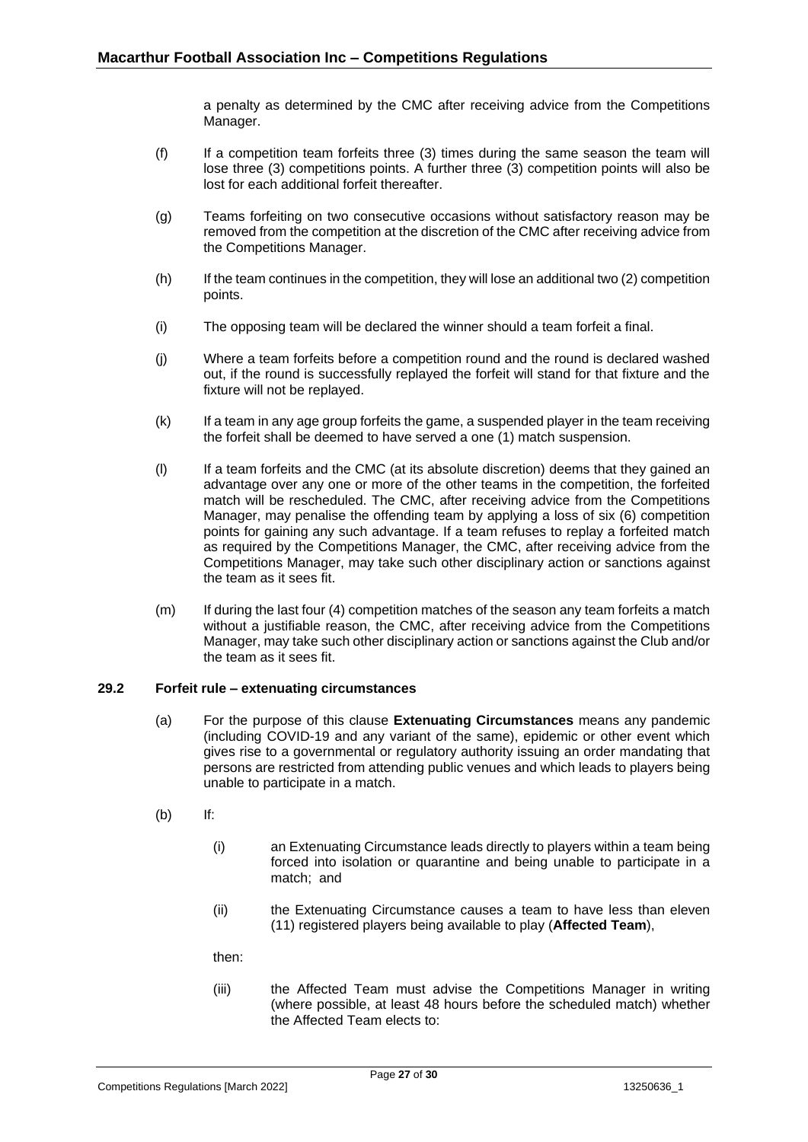a penalty as determined by the CMC after receiving advice from the Competitions Manager.

- (f) If a competition team forfeits three (3) times during the same season the team will lose three (3) competitions points. A further three (3) competition points will also be lost for each additional forfeit thereafter.
- (g) Teams forfeiting on two consecutive occasions without satisfactory reason may be removed from the competition at the discretion of the CMC after receiving advice from the Competitions Manager.
- (h) If the team continues in the competition, they will lose an additional two (2) competition points.
- (i) The opposing team will be declared the winner should a team forfeit a final.
- (j) Where a team forfeits before a competition round and the round is declared washed out, if the round is successfully replayed the forfeit will stand for that fixture and the fixture will not be replayed.
- (k) If a team in any age group forfeits the game, a suspended player in the team receiving the forfeit shall be deemed to have served a one (1) match suspension.
- (l) If a team forfeits and the CMC (at its absolute discretion) deems that they gained an advantage over any one or more of the other teams in the competition, the forfeited match will be rescheduled. The CMC, after receiving advice from the Competitions Manager, may penalise the offending team by applying a loss of six (6) competition points for gaining any such advantage. If a team refuses to replay a forfeited match as required by the Competitions Manager, the CMC, after receiving advice from the Competitions Manager, may take such other disciplinary action or sanctions against the team as it sees fit.
- (m) If during the last four (4) competition matches of the season any team forfeits a match without a justifiable reason, the CMC, after receiving advice from the Competitions Manager, may take such other disciplinary action or sanctions against the Club and/or the team as it sees fit.

## <span id="page-26-0"></span>**29.2 Forfeit rule – extenuating circumstances**

- (a) For the purpose of this clause **Extenuating Circumstances** means any pandemic (including COVID-19 and any variant of the same), epidemic or other event which gives rise to a governmental or regulatory authority issuing an order mandating that persons are restricted from attending public venues and which leads to players being unable to participate in a match.
- (b) If:
	- (i) an Extenuating Circumstance leads directly to players within a team being forced into isolation or quarantine and being unable to participate in a match; and
	- (ii) the Extenuating Circumstance causes a team to have less than eleven (11) registered players being available to play (**Affected Team**),

then:

(iii) the Affected Team must advise the Competitions Manager in writing (where possible, at least 48 hours before the scheduled match) whether the Affected Team elects to: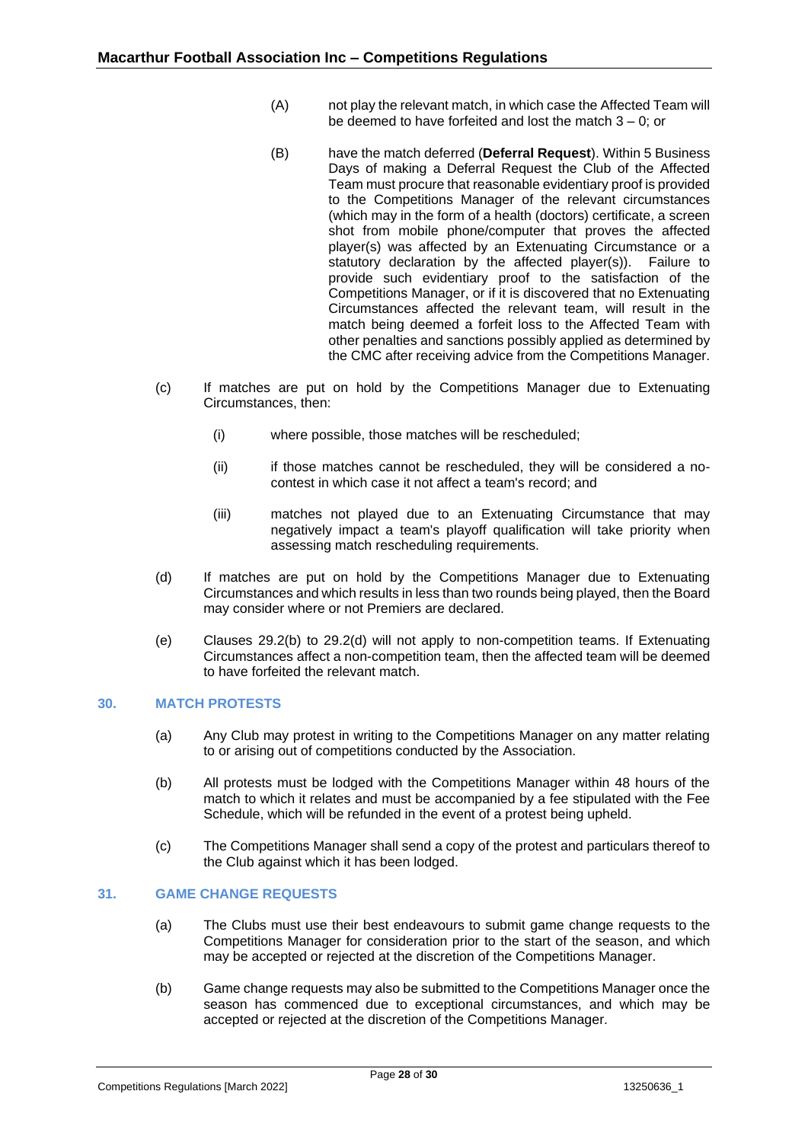- (A) not play the relevant match, in which case the Affected Team will be deemed to have forfeited and lost the match 3 – 0; or
- (B) have the match deferred (**Deferral Request**). Within 5 Business Days of making a Deferral Request the Club of the Affected Team must procure that reasonable evidentiary proof is provided to the Competitions Manager of the relevant circumstances (which may in the form of a health (doctors) certificate, a screen shot from mobile phone/computer that proves the affected player(s) was affected by an Extenuating Circumstance or a statutory declaration by the affected player(s)). Failure to provide such evidentiary proof to the satisfaction of the Competitions Manager, or if it is discovered that no Extenuating Circumstances affected the relevant team, will result in the match being deemed a forfeit loss to the Affected Team with other penalties and sanctions possibly applied as determined by the CMC after receiving advice from the Competitions Manager.
- (c) If matches are put on hold by the Competitions Manager due to Extenuating Circumstances, then:
	- (i) where possible, those matches will be rescheduled;
	- (ii) if those matches cannot be rescheduled, they will be considered a nocontest in which case it not affect a team's record; and
	- (iii) matches not played due to an Extenuating Circumstance that may negatively impact a team's playoff qualification will take priority when assessing match rescheduling requirements.
- <span id="page-27-2"></span>(d) If matches are put on hold by the Competitions Manager due to Extenuating Circumstances and which results in less than two rounds being played, then the Board may consider where or not Premiers are declared.
- (e) Clauses [29.2\(b\)](#page-26-0) to [29.2\(d\)](#page-26-0) will not apply to non-competition teams. If Extenuating Circumstances affect a non-competition team, then the affected team will be deemed to have forfeited the relevant match.

## <span id="page-27-0"></span>**30. MATCH PROTESTS**

- (a) Any Club may protest in writing to the Competitions Manager on any matter relating to or arising out of competitions conducted by the Association.
- (b) All protests must be lodged with the Competitions Manager within 48 hours of the match to which it relates and must be accompanied by a fee stipulated with the Fee Schedule, which will be refunded in the event of a protest being upheld.
- (c) The Competitions Manager shall send a copy of the protest and particulars thereof to the Club against which it has been lodged.

## <span id="page-27-1"></span>**31. GAME CHANGE REQUESTS**

- (a) The Clubs must use their best endeavours to submit game change requests to the Competitions Manager for consideration prior to the start of the season, and which may be accepted or rejected at the discretion of the Competitions Manager.
- (b) Game change requests may also be submitted to the Competitions Manager once the season has commenced due to exceptional circumstances, and which may be accepted or rejected at the discretion of the Competitions Manager.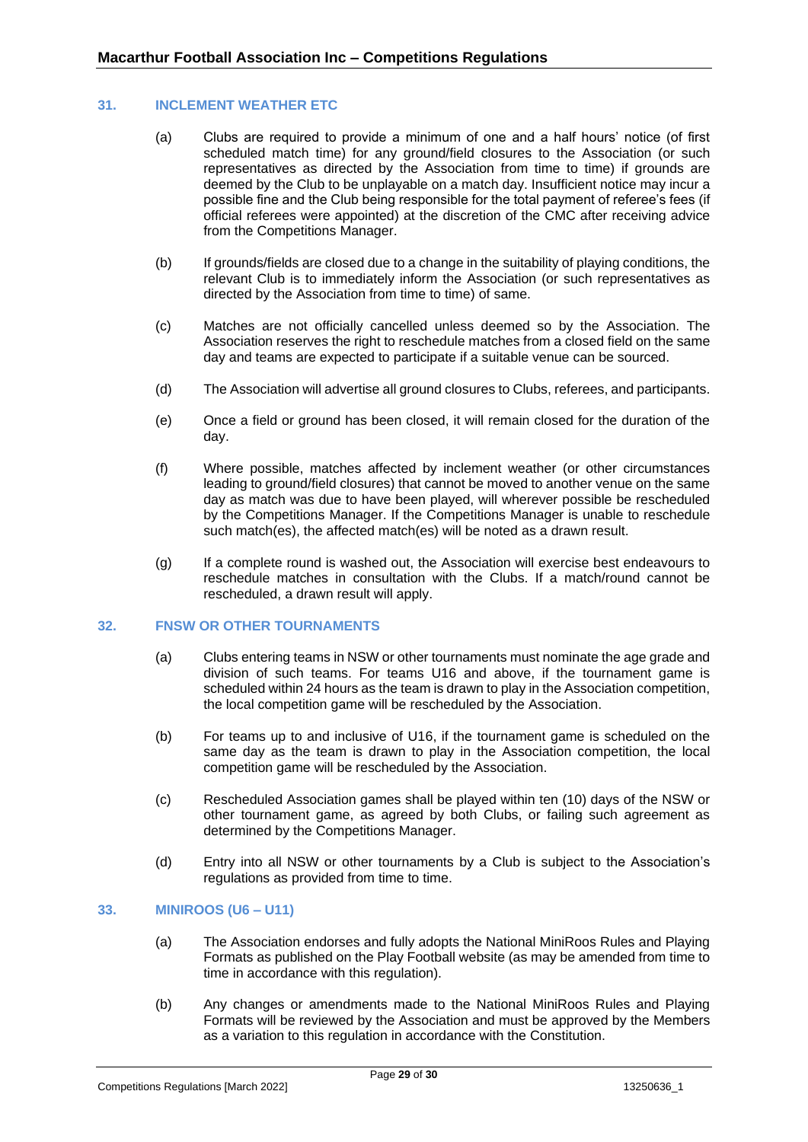## <span id="page-28-0"></span>**31. INCLEMENT WEATHER ETC**

- (a) Clubs are required to provide a minimum of one and a half hours' notice (of first scheduled match time) for any ground/field closures to the Association (or such representatives as directed by the Association from time to time) if grounds are deemed by the Club to be unplayable on a match day. Insufficient notice may incur a possible fine and the Club being responsible for the total payment of referee's fees (if official referees were appointed) at the discretion of the CMC after receiving advice from the Competitions Manager.
- (b) If grounds/fields are closed due to a change in the suitability of playing conditions, the relevant Club is to immediately inform the Association (or such representatives as directed by the Association from time to time) of same.
- (c) Matches are not officially cancelled unless deemed so by the Association. The Association reserves the right to reschedule matches from a closed field on the same day and teams are expected to participate if a suitable venue can be sourced.
- (d) The Association will advertise all ground closures to Clubs, referees, and participants.
- (e) Once a field or ground has been closed, it will remain closed for the duration of the day.
- (f) Where possible, matches affected by inclement weather (or other circumstances leading to ground/field closures) that cannot be moved to another venue on the same day as match was due to have been played, will wherever possible be rescheduled by the Competitions Manager. If the Competitions Manager is unable to reschedule such match(es), the affected match(es) will be noted as a drawn result.
- (g) If a complete round is washed out, the Association will exercise best endeavours to reschedule matches in consultation with the Clubs. If a match/round cannot be rescheduled, a drawn result will apply.

#### <span id="page-28-1"></span>**32. FNSW OR OTHER TOURNAMENTS**

- (a) Clubs entering teams in NSW or other tournaments must nominate the age grade and division of such teams. For teams U16 and above, if the tournament game is scheduled within 24 hours as the team is drawn to play in the Association competition, the local competition game will be rescheduled by the Association.
- (b) For teams up to and inclusive of U16, if the tournament game is scheduled on the same day as the team is drawn to play in the Association competition, the local competition game will be rescheduled by the Association.
- (c) Rescheduled Association games shall be played within ten (10) days of the NSW or other tournament game, as agreed by both Clubs, or failing such agreement as determined by the Competitions Manager.
- (d) Entry into all NSW or other tournaments by a Club is subject to the Association's regulations as provided from time to time.

#### <span id="page-28-2"></span>**33. MINIROOS (U6 – U11)**

- (a) The Association endorses and fully adopts the National MiniRoos Rules and Playing Formats as published on the Play Football website (as may be amended from time to time in accordance with this regulation).
- (b) Any changes or amendments made to the National MiniRoos Rules and Playing Formats will be reviewed by the Association and must be approved by the Members as a variation to this regulation in accordance with the Constitution.